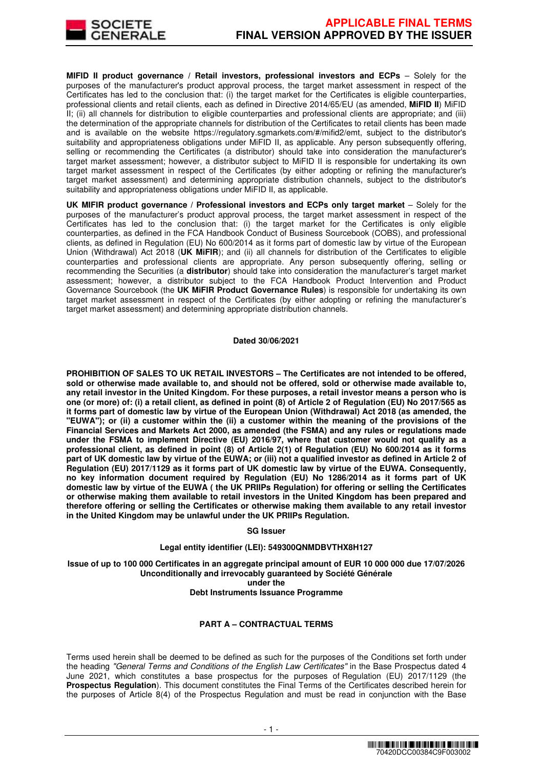

**MIFID II product governance / Retail investors, professional investors and ECPs - Solely for the** purposes of the manufacturer's product approval process, the target market assessment in respect of the Certificates has led to the conclusion that: (i) the target market for the Certificates is eligible counterparties, professional clients and retail clients, each as defined in Directive 2014/65/EU (as amended, **MiFID II**) MiFID II; (ii) all channels for distribution to eligible counterparties and professional clients are appropriate; and (iii) the determination of the appropriate channels for distribution of the Certificates to retail clients has been made and is available on the website https://regulatory.sgmarkets.com/#/mifid2/emt, subject to the distributor's suitability and appropriateness obligations under MiFID II, as applicable. Any person subsequently offering, selling or recommending the Certificates (a distributor) should take into consideration the manufacturer's target market assessment; however, a distributor subject to MiFID II is responsible for undertaking its own target market assessment in respect of the Certificates (by either adopting or refining the manufacturer's target market assessment) and determining appropriate distribution channels, subject to the distributor's suitability and appropriateness obligations under MiFID II, as applicable.

**UK MIFIR product governance / Professional investors and ECPs only target market** – Solely for the purposes of the manufacturer's product approval process, the target market assessment in respect of the Certificates has led to the conclusion that: (i) the target market for the Certificates is only eligible counterparties, as defined in the FCA Handbook Conduct of Business Sourcebook (COBS), and professional clients, as defined in Regulation (EU) No 600/2014 as it forms part of domestic law by virtue of the European Union (Withdrawal) Act 2018 (**UK MiFIR**); and (ii) all channels for distribution of the Certificates to eligible counterparties and professional clients are appropriate. Any person subsequently offering, selling or recommending the Securities (a **distributor**) should take into consideration the manufacturer's target market assessment; however, a distributor subject to the FCA Handbook Product Intervention and Product Governance Sourcebook (the **UK MiFIR Product Governance Rules**) is responsible for undertaking its own target market assessment in respect of the Certificates (by either adopting or refining the manufacturer's target market assessment) and determining appropriate distribution channels.

#### **Dated 30/06/2021**

**PROHIBITION OF SALES TO UK RETAIL INVESTORS – The Certificates are not intended to be offered, sold or otherwise made available to, and should not be offered, sold or otherwise made available to, any retail investor in the United Kingdom. For these purposes, a retail investor means a person who is one (or more) of: (i) a retail client, as defined in point (8) of Article 2 of Regulation (EU) No 2017/565 as it forms part of domestic law by virtue of the European Union (Withdrawal) Act 2018 (as amended, the "EUWA"); or (ii) a customer within the (ii) a customer within the meaning of the provisions of the Financial Services and Markets Act 2000, as amended (the FSMA) and any rules or regulations made under the FSMA to implement Directive (EU) 2016/97, where that customer would not qualify as a professional client, as defined in point (8) of Article 2(1) of Regulation (EU) No 600/2014 as it forms part of UK domestic law by virtue of the EUWA; or (iii) not a qualified investor as defined in Article 2 of Regulation (EU) 2017/1129 as it forms part of UK domestic law by virtue of the EUWA. Consequently, no key information document required by Regulation (EU) No 1286/2014 as it forms part of UK domestic law by virtue of the EUWA ( the UK PRIIPs Regulation) for offering or selling the Certificates or otherwise making them available to retail investors in the United Kingdom has been prepared and therefore offering or selling the Certificates or otherwise making them available to any retail investor in the United Kingdom may be unlawful under the UK PRIIPs Regulation.**

#### **SG Issuer**

# **Legal entity identifier (LEI): 549300QNMDBVTHX8H127**

**Issue of up to 100 000 Certificates in an aggregate principal amount of EUR 10 000 000 due 17/07/2026 Unconditionally and irrevocably guaranteed by Société Générale under the** 

#### **Debt Instruments Issuance Programme**

# **PART A – CONTRACTUAL TERMS**

Terms used herein shall be deemed to be defined as such for the purposes of the Conditions set forth under the heading "General Terms and Conditions of the English Law Certificates" in the Base Prospectus dated 4 June 2021, which constitutes a base prospectus for the purposes of Regulation (EU) 2017/1129 (the **Prospectus Regulation**). This document constitutes the Final Terms of the Certificates described herein for the purposes of Article 8(4) of the Prospectus Regulation and must be read in conjunction with the Base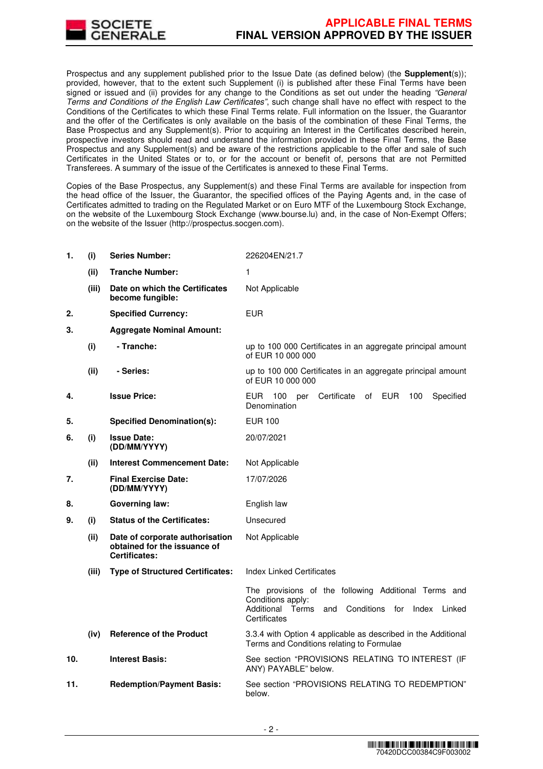

Prospectus and any supplement published prior to the Issue Date (as defined below) (the **Supplement**(s)); provided, however, that to the extent such Supplement (i) is published after these Final Terms have been signed or issued and (ii) provides for any change to the Conditions as set out under the heading "General Terms and Conditions of the English Law Certificates", such change shall have no effect with respect to the Conditions of the Certificates to which these Final Terms relate. Full information on the Issuer, the Guarantor and the offer of the Certificates is only available on the basis of the combination of these Final Terms, the Base Prospectus and any Supplement(s). Prior to acquiring an Interest in the Certificates described herein, prospective investors should read and understand the information provided in these Final Terms, the Base Prospectus and any Supplement(s) and be aware of the restrictions applicable to the offer and sale of such Certificates in the United States or to, or for the account or benefit of, persons that are not Permitted Transferees. A summary of the issue of the Certificates is annexed to these Final Terms.

Copies of the Base Prospectus, any Supplement(s) and these Final Terms are available for inspection from the head office of the Issuer, the Guarantor, the specified offices of the Paying Agents and, in the case of Certificates admitted to trading on the Regulated Market or on Euro MTF of the Luxembourg Stock Exchange, on the website of the Luxembourg Stock Exchange (www.bourse.lu) and, in the case of Non-Exempt Offers; on the website of the Issuer (http://prospectus.socgen.com).

| 1.  | (i)   | <b>Series Number:</b>                                                                   | 226204EN/21.7                                                                                                                                                   |  |
|-----|-------|-----------------------------------------------------------------------------------------|-----------------------------------------------------------------------------------------------------------------------------------------------------------------|--|
|     | (ii)  | <b>Tranche Number:</b>                                                                  | 1                                                                                                                                                               |  |
|     | (iii) | Date on which the Certificates<br>become fungible:                                      | Not Applicable                                                                                                                                                  |  |
| 2.  |       | <b>Specified Currency:</b>                                                              | <b>EUR</b>                                                                                                                                                      |  |
| 3.  |       | <b>Aggregate Nominal Amount:</b>                                                        |                                                                                                                                                                 |  |
|     | (i)   | - Tranche:                                                                              | up to 100 000 Certificates in an aggregate principal amount<br>of EUR 10 000 000                                                                                |  |
|     | (ii)  | - Series:                                                                               | up to 100 000 Certificates in an aggregate principal amount<br>of EUR 10 000 000                                                                                |  |
| 4.  |       | <b>Issue Price:</b>                                                                     | Certificate<br>EUR 100<br>of EUR<br>100<br>Specified<br>per<br>Denomination                                                                                     |  |
| 5.  |       | <b>Specified Denomination(s):</b>                                                       | <b>EUR 100</b>                                                                                                                                                  |  |
| 6.  | (i)   | <b>Issue Date:</b><br>(DD/MM/YYYY)                                                      | 20/07/2021                                                                                                                                                      |  |
|     | (ii)  | <b>Interest Commencement Date:</b>                                                      | Not Applicable                                                                                                                                                  |  |
| 7.  |       | <b>Final Exercise Date:</b><br>(DD/MM/YYYY)                                             | 17/07/2026                                                                                                                                                      |  |
| 8.  |       | <b>Governing law:</b>                                                                   | English law                                                                                                                                                     |  |
| 9.  | (i)   | <b>Status of the Certificates:</b>                                                      | Unsecured                                                                                                                                                       |  |
|     | (ii)  | Date of corporate authorisation<br>obtained for the issuance of<br><b>Certificates:</b> | Not Applicable                                                                                                                                                  |  |
|     | (iii) | <b>Type of Structured Certificates:</b>                                                 | <b>Index Linked Certificates</b>                                                                                                                                |  |
|     |       |                                                                                         | The provisions of the following Additional Terms and<br>Conditions apply:<br>Additional<br>Terms<br>and<br>Conditions<br>for<br>Index<br>Linked<br>Certificates |  |
|     | (iv)  | <b>Reference of the Product</b>                                                         | 3.3.4 with Option 4 applicable as described in the Additional<br>Terms and Conditions relating to Formulae                                                      |  |
| 10. |       | <b>Interest Basis:</b>                                                                  | See section "PROVISIONS RELATING TO INTEREST (IF<br>ANY) PAYABLE" below.                                                                                        |  |
| 11. |       | <b>Redemption/Payment Basis:</b>                                                        | See section "PROVISIONS RELATING TO REDEMPTION"<br>below.                                                                                                       |  |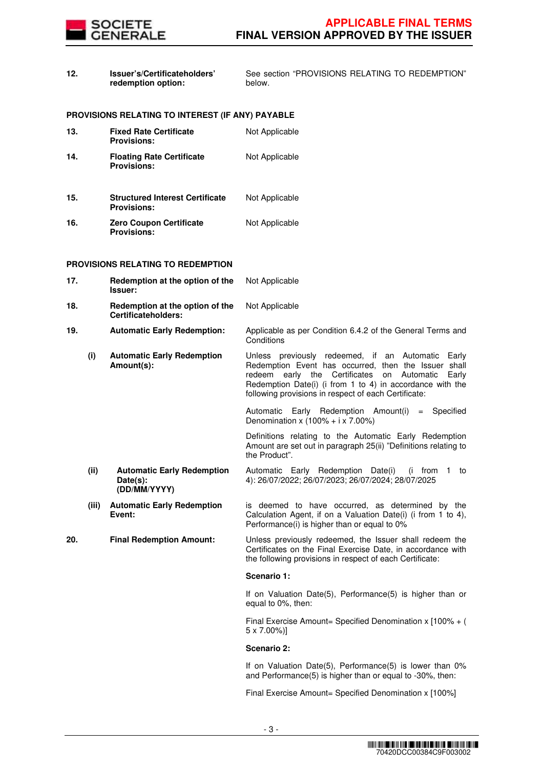

**12. Issuer's/Certificateholders' redemption option:**

See section "PROVISIONS RELATING TO REDEMPTION"

|     |       | PROVISIONS RELATING TO INTEREST (IF ANY) PAYABLE              |                                                                                                                                                                                                                                                                                             |
|-----|-------|---------------------------------------------------------------|---------------------------------------------------------------------------------------------------------------------------------------------------------------------------------------------------------------------------------------------------------------------------------------------|
| 13. |       | <b>Fixed Rate Certificate</b><br><b>Provisions:</b>           | Not Applicable                                                                                                                                                                                                                                                                              |
| 14. |       | <b>Floating Rate Certificate</b><br><b>Provisions:</b>        | Not Applicable                                                                                                                                                                                                                                                                              |
| 15. |       | <b>Structured Interest Certificate</b><br><b>Provisions:</b>  | Not Applicable                                                                                                                                                                                                                                                                              |
| 16. |       | <b>Zero Coupon Certificate</b><br><b>Provisions:</b>          | Not Applicable                                                                                                                                                                                                                                                                              |
|     |       | <b>PROVISIONS RELATING TO REDEMPTION</b>                      |                                                                                                                                                                                                                                                                                             |
| 17. |       | Redemption at the option of the<br><b>Issuer:</b>             | Not Applicable                                                                                                                                                                                                                                                                              |
| 18. |       | Redemption at the option of the<br>Certificateholders:        | Not Applicable                                                                                                                                                                                                                                                                              |
| 19. |       | <b>Automatic Early Redemption:</b>                            | Applicable as per Condition 6.4.2 of the General Terms and<br>Conditions                                                                                                                                                                                                                    |
|     | (i)   | <b>Automatic Early Redemption</b><br>Amount(s):               | Unless previously redeemed, if an Automatic Early<br>Redemption Event has occurred, then the Issuer shall<br>redeem<br>early the Certificates<br>on Automatic<br>Early<br>Redemption Date(i) (i from 1 to 4) in accordance with the<br>following provisions in respect of each Certificate: |
|     |       |                                                               | Automatic Early Redemption Amount(i) = Specified<br>Denomination x $(100\% + i \times 7.00\%)$                                                                                                                                                                                              |
|     |       |                                                               | Definitions relating to the Automatic Early Redemption<br>Amount are set out in paragraph 25(ii) "Definitions relating to<br>the Product".                                                                                                                                                  |
|     | (ii)  | <b>Automatic Early Redemption</b><br>Date(s):<br>(DD/MM/YYYY) | Automatic Early Redemption Date(i)<br>(i from 1 to<br>4): 26/07/2022; 26/07/2023; 26/07/2024; 28/07/2025                                                                                                                                                                                    |
|     | (iii) | <b>Automatic Early Redemption</b><br>Event:                   | is deemed to have occurred, as determined by the<br>Calculation Agent, if on a Valuation Date(i) (i from 1 to 4),<br>Performance(i) is higher than or equal to 0%                                                                                                                           |
| 20. |       | <b>Final Redemption Amount:</b>                               | Unless previously redeemed, the Issuer shall redeem the<br>Certificates on the Final Exercise Date, in accordance with<br>the following provisions in respect of each Certificate:                                                                                                          |
|     |       |                                                               | Scenario 1:                                                                                                                                                                                                                                                                                 |
|     |       |                                                               | If on Valuation Date(5), Performance(5) is higher than or<br>equal to 0%, then:                                                                                                                                                                                                             |
|     |       |                                                               | Final Exercise Amount= Specified Denomination x [100% + (<br>$5 \times 7.00\%)$                                                                                                                                                                                                             |
|     |       |                                                               | Scenario 2:                                                                                                                                                                                                                                                                                 |
|     |       |                                                               | If on Valuation Date(5), Performance(5) is lower than 0%<br>and Performance(5) is higher than or equal to -30%, then:                                                                                                                                                                       |
|     |       |                                                               |                                                                                                                                                                                                                                                                                             |

below.

Final Exercise Amount= Specified Denomination x [100%]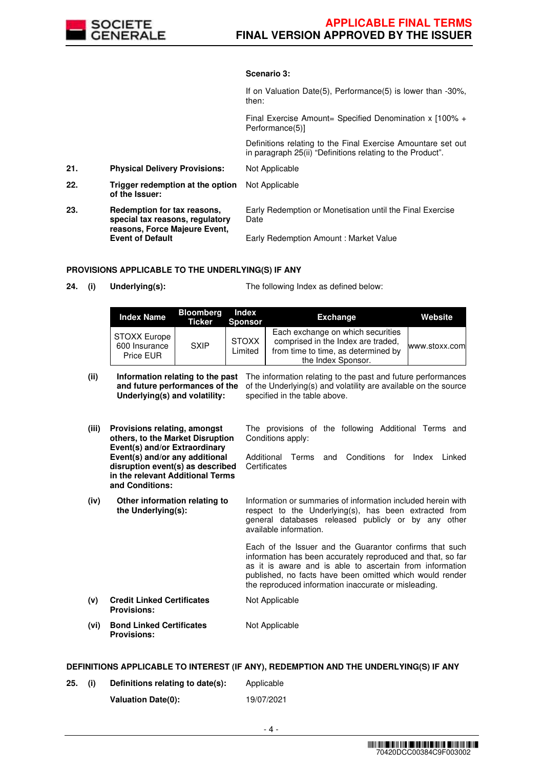

## **Scenario 3:**

If on Valuation Date(5), Performance(5) is lower than -30%, then: Final Exercise Amount= Specified Denomination x [100% + Performance(5)] Definitions relating to the Final Exercise Amountare set out in paragraph 25(ii) "Definitions relating to the Product". **21. Physical Delivery Provisions:** Not Applicable **22. Trigger redemption at the option of the Issuer:** Not Applicable **23. Redemption for tax reasons, special tax reasons, regulatory reasons, Force Majeure Event, Event of Default** Early Redemption or Monetisation until the Final Exercise Date Early Redemption Amount : Market Value

## **PROVISIONS APPLICABLE TO THE UNDERLYING(S) IF ANY**

**24. (i) Underlying(s):** The following Index as defined below:

| <b>Index Name</b>                          | <b>Bloomberg</b><br>Ticker | Index<br><b>Sponsor</b> | Exchange                                                                                                                             | Website       |
|--------------------------------------------|----------------------------|-------------------------|--------------------------------------------------------------------------------------------------------------------------------------|---------------|
| STOXX Europe<br>600 Insurance<br>Price EUR | <b>SXIP</b>                | <b>STOXX</b><br>Limited | Each exchange on which securities<br>comprised in the Index are traded,<br>from time to time, as determined by<br>the Index Sponsor. | www.stoxx.com |

| (ii)  | Information relating to the past<br>and future performances of the<br>Underlying(s) and volatility:                       | The information relating to the past and future performances<br>of the Underlying(s) and volatility are available on the source<br>specified in the table above.                                                                                                                                       |  |  |  |
|-------|---------------------------------------------------------------------------------------------------------------------------|--------------------------------------------------------------------------------------------------------------------------------------------------------------------------------------------------------------------------------------------------------------------------------------------------------|--|--|--|
| (iii) | Provisions relating, amongst<br>others, to the Market Disruption<br>Event(s) and/or Extraordinary                         | The provisions of the following Additional Terms and<br>Conditions apply:                                                                                                                                                                                                                              |  |  |  |
|       | Event(s) and/or any additional<br>disruption event(s) as described<br>in the relevant Additional Terms<br>and Conditions: | Additional<br>Conditions<br>Linked<br>Terms<br>and<br>for<br>Index<br>Certificates                                                                                                                                                                                                                     |  |  |  |
| (iv)  | Other information relating to<br>the Underlying(s):                                                                       | Information or summaries of information included herein with<br>respect to the Underlying(s), has been extracted from<br>general databases released publicly or by any other<br>available information.                                                                                                 |  |  |  |
|       |                                                                                                                           | Each of the Issuer and the Guarantor confirms that such<br>information has been accurately reproduced and that, so far<br>as it is aware and is able to ascertain from information<br>published, no facts have been omitted which would render<br>the reproduced information inaccurate or misleading. |  |  |  |
| (v)   | <b>Credit Linked Certificates</b><br><b>Provisions:</b>                                                                   | Not Applicable                                                                                                                                                                                                                                                                                         |  |  |  |
| (vi)  | <b>Bond Linked Certificates</b><br><b>Provisions:</b>                                                                     | Not Applicable                                                                                                                                                                                                                                                                                         |  |  |  |

#### **DEFINITIONS APPLICABLE TO INTEREST (IF ANY), REDEMPTION AND THE UNDERLYING(S) IF ANY**

**25. (i) Definitions relating to date(s):** Applicable **Valuation Date(0):** 19/07/2021

- 4 -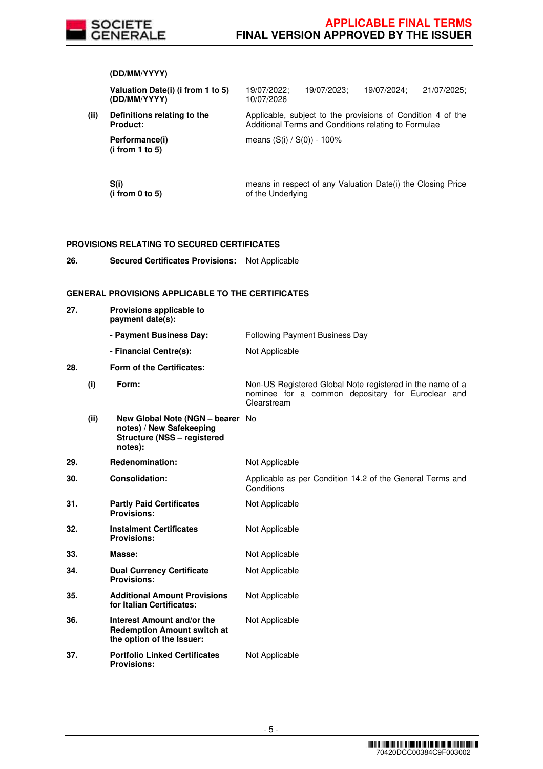

**(DD/MM/YYYY)**

|     |      | Valuation Date(i) (i from 1 to 5)<br>(DD/MM/YYYY)                                                             | 19/07/2022;<br>10/07/2026      | 19/07/2023; | 19/07/2024;                                                                                                         | 21/07/2025; |
|-----|------|---------------------------------------------------------------------------------------------------------------|--------------------------------|-------------|---------------------------------------------------------------------------------------------------------------------|-------------|
|     | (ii) | Definitions relating to the<br>Product:                                                                       |                                |             | Applicable, subject to the provisions of Condition 4 of the<br>Additional Terms and Conditions relating to Formulae |             |
|     |      | Performance(i)<br>(i from 1 to 5)                                                                             | means (S(i) / S(0)) - 100%     |             |                                                                                                                     |             |
|     |      | S(i)<br>(i from 0 to 5)                                                                                       | of the Underlying              |             | means in respect of any Valuation Date(i) the Closing Price                                                         |             |
|     |      | <b>PROVISIONS RELATING TO SECURED CERTIFICATES</b>                                                            |                                |             |                                                                                                                     |             |
| 26. |      | <b>Secured Certificates Provisions:</b>                                                                       | Not Applicable                 |             |                                                                                                                     |             |
|     |      | <b>GENERAL PROVISIONS APPLICABLE TO THE CERTIFICATES</b>                                                      |                                |             |                                                                                                                     |             |
| 27. |      | Provisions applicable to<br>payment date(s):                                                                  |                                |             |                                                                                                                     |             |
|     |      | - Payment Business Day:                                                                                       | Following Payment Business Day |             |                                                                                                                     |             |
|     |      | - Financial Centre(s):                                                                                        | Not Applicable                 |             |                                                                                                                     |             |
| 28. |      | Form of the Certificates:                                                                                     |                                |             |                                                                                                                     |             |
|     | (i)  | Form:                                                                                                         | Clearstream                    |             | Non-US Registered Global Note registered in the name of a<br>nominee for a common depositary for Euroclear and      |             |
|     | (ii) | New Global Note (NGN - bearer No<br>notes) / New Safekeeping<br><b>Structure (NSS - registered</b><br>notes): |                                |             |                                                                                                                     |             |
| 29. |      | Redenomination:                                                                                               | Not Applicable                 |             |                                                                                                                     |             |
| 30. |      | <b>Consolidation:</b>                                                                                         | Conditions                     |             | Applicable as per Condition 14.2 of the General Terms and                                                           |             |
| 31. |      | <b>Partly Paid Certificates</b><br><b>Provisions:</b>                                                         | Not Applicable                 |             |                                                                                                                     |             |
| 32. |      | <b>Instalment Certificates</b><br><b>Provisions:</b>                                                          | Not Applicable                 |             |                                                                                                                     |             |
| 33. |      | Masse:                                                                                                        | Not Applicable                 |             |                                                                                                                     |             |
| 34. |      | <b>Dual Currency Certificate</b><br><b>Provisions:</b>                                                        | Not Applicable                 |             |                                                                                                                     |             |
|     |      |                                                                                                               |                                |             |                                                                                                                     |             |
| 35. |      | <b>Additional Amount Provisions</b><br>for Italian Certificates:                                              | Not Applicable                 |             |                                                                                                                     |             |
| 36. |      | Interest Amount and/or the<br><b>Redemption Amount switch at</b><br>the option of the Issuer:                 | Not Applicable                 |             |                                                                                                                     |             |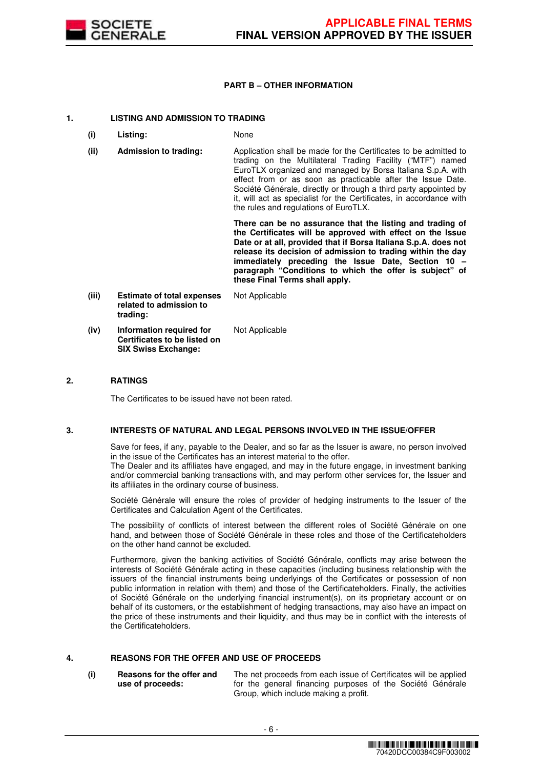

# **PART B – OTHER INFORMATION**

## **1. LISTING AND ADMISSION TO TRADING**

- **(i) Listing:** None
- **(ii) Admission to trading:** Application shall be made for the Certificates to be admitted to trading on the Multilateral Trading Facility ("MTF") named EuroTLX organized and managed by Borsa Italiana S.p.A. with effect from or as soon as practicable after the Issue Date. Société Générale, directly or through a third party appointed by it, will act as specialist for the Certificates, in accordance with the rules and regulations of EuroTLX.

 **There can be no assurance that the listing and trading of the Certificates will be approved with effect on the Issue Date or at all, provided that if Borsa Italiana S.p.A. does not release its decision of admission to trading within the day immediately preceding the Issue Date, Section 10 – paragraph "Conditions to which the offer is subject" of these Final Terms shall apply.**

**(iii) Estimate of total expenses related to admission to trading:** Not Applicable **(iv) Information required for Certificates to be listed on**  Not Applicable

**SIX Swiss Exchange:**

# **2. RATINGS**

The Certificates to be issued have not been rated.

# **3. INTERESTS OF NATURAL AND LEGAL PERSONS INVOLVED IN THE ISSUE/OFFER**

 Save for fees, if any, payable to the Dealer, and so far as the Issuer is aware, no person involved in the issue of the Certificates has an interest material to the offer.

The Dealer and its affiliates have engaged, and may in the future engage, in investment banking and/or commercial banking transactions with, and may perform other services for, the Issuer and its affiliates in the ordinary course of business.

 Société Générale will ensure the roles of provider of hedging instruments to the Issuer of the Certificates and Calculation Agent of the Certificates.

 The possibility of conflicts of interest between the different roles of Société Générale on one hand, and between those of Société Générale in these roles and those of the Certificateholders on the other hand cannot be excluded.

 Furthermore, given the banking activities of Société Générale, conflicts may arise between the interests of Société Générale acting in these capacities (including business relationship with the issuers of the financial instruments being underlyings of the Certificates or possession of non public information in relation with them) and those of the Certificateholders. Finally, the activities of Société Générale on the underlying financial instrument(s), on its proprietary account or on behalf of its customers, or the establishment of hedging transactions, may also have an impact on the price of these instruments and their liquidity, and thus may be in conflict with the interests of the Certificateholders.

# **4. REASONS FOR THE OFFER AND USE OF PROCEEDS**

**(i) Reasons for the offer and use of proceeds:**

The net proceeds from each issue of Certificates will be applied for the general financing purposes of the Société Générale Group, which include making a profit.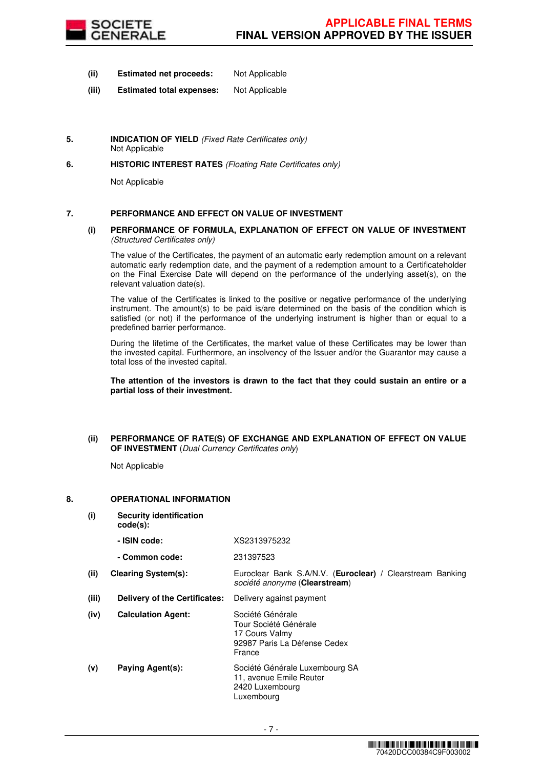

- **(ii) Estimated net proceeds:** Not Applicable
- **(iii) Estimated total expenses:** Not Applicable
- **5. INDICATION OF YIELD** (Fixed Rate Certificates only) Not Applicable
- **6. HISTORIC INTEREST RATES** (Floating Rate Certificates only)

Not Applicable

# **7. PERFORMANCE AND EFFECT ON VALUE OF INVESTMENT**

#### **(i) PERFORMANCE OF FORMULA, EXPLANATION OF EFFECT ON VALUE OF INVESTMENT**  (Structured Certificates only)

 The value of the Certificates, the payment of an automatic early redemption amount on a relevant automatic early redemption date, and the payment of a redemption amount to a Certificateholder on the Final Exercise Date will depend on the performance of the underlying asset(s), on the relevant valuation date(s).

 The value of the Certificates is linked to the positive or negative performance of the underlying instrument. The amount(s) to be paid is/are determined on the basis of the condition which is satisfied (or not) if the performance of the underlying instrument is higher than or equal to a predefined barrier performance.

 During the lifetime of the Certificates, the market value of these Certificates may be lower than the invested capital. Furthermore, an insolvency of the Issuer and/or the Guarantor may cause a total loss of the invested capital.

**The attention of the investors is drawn to the fact that they could sustain an entire or a partial loss of their investment.**

## **(ii) PERFORMANCE OF RATE(S) OF EXCHANGE AND EXPLANATION OF EFFECT ON VALUE OF INVESTMENT** (Dual Currency Certificates only)

Not Applicable

# **8. OPERATIONAL INFORMATION**

**(i) Security identification** 

**code(s): - ISIN code:** XS2313975232

|       | - Common code:                | 231397523                                                                                             |
|-------|-------------------------------|-------------------------------------------------------------------------------------------------------|
| (ii)  | <b>Clearing System(s):</b>    | Euroclear Bank S.A/N.V. ( <b>Euroclear</b> ) / Clearstream Banking<br>société anonyme (Clearstream)   |
| (iii) | Delivery of the Certificates: | Delivery against payment                                                                              |
| (iv)  | <b>Calculation Agent:</b>     | Société Générale<br>Tour Société Générale<br>17 Cours Valmy<br>92987 Paris La Défense Cedex<br>France |
| (v)   | Paying Agent(s):              | Société Générale Luxembourg SA<br>11, avenue Emile Reuter<br>2420 Luxembourg<br>Luxembourg            |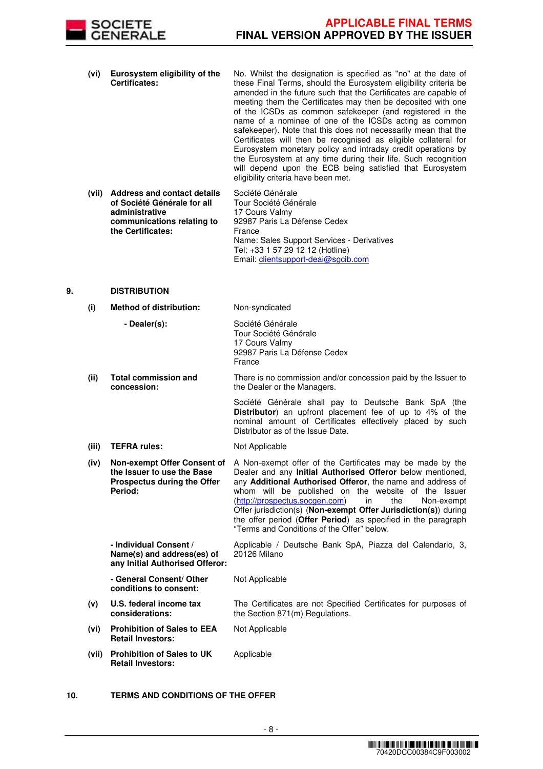

- **(vi) Eurosystem eligibility of the Certificates:** No. Whilst the designation is specified as "no" at the date of these Final Terms, should the Eurosystem eligibility criteria be amended in the future such that the Certificates are capable of meeting them the Certificates may then be deposited with one of the ICSDs as common safekeeper (and registered in the name of a nominee of one of the ICSDs acting as common safekeeper). Note that this does not necessarily mean that the Certificates will then be recognised as eligible collateral for Eurosystem monetary policy and intraday credit operations by the Eurosystem at any time during their life. Such recognition will depend upon the ECB being satisfied that Eurosystem eligibility criteria have been met.
- **(vii) Address and contact details of Société Générale for all administrative communications relating to the Certificates:** Société Générale Tour Société Générale 17 Cours Valmy 92987 Paris La Défense Cedex France Name: Sales Support Services - Derivatives Tel: +33 1 57 29 12 12 (Hotline) Email: clientsupport-deai@sgcib.com

## **9. DISTRIBUTION**

| (i)   | <b>Method of distribution:</b>                                                                      | Non-syndicated                                                                                                                                                                                                                                                                                                                                                                                                                                                                              |
|-------|-----------------------------------------------------------------------------------------------------|---------------------------------------------------------------------------------------------------------------------------------------------------------------------------------------------------------------------------------------------------------------------------------------------------------------------------------------------------------------------------------------------------------------------------------------------------------------------------------------------|
|       | - Dealer(s):                                                                                        | Société Générale<br>Tour Société Générale<br>17 Cours Valmy<br>92987 Paris La Défense Cedex<br>France                                                                                                                                                                                                                                                                                                                                                                                       |
| (ii)  | <b>Total commission and</b><br>concession:                                                          | There is no commission and/or concession paid by the Issuer to<br>the Dealer or the Managers.                                                                                                                                                                                                                                                                                                                                                                                               |
|       |                                                                                                     | Société Générale shall pay to Deutsche Bank SpA (the<br>Distributor) an upfront placement fee of up to 4% of the<br>nominal amount of Certificates effectively placed by such<br>Distributor as of the Issue Date.                                                                                                                                                                                                                                                                          |
| (iii) | <b>TEFRA rules:</b>                                                                                 | Not Applicable                                                                                                                                                                                                                                                                                                                                                                                                                                                                              |
| (iv)  | Non-exempt Offer Consent of<br>the Issuer to use the Base<br>Prospectus during the Offer<br>Period: | A Non-exempt offer of the Certificates may be made by the<br>Dealer and any Initial Authorised Offeror below mentioned,<br>any Additional Authorised Offeror, the name and address of<br>whom will be published on the website of the Issuer<br>(http://prospectus.socgen.com)<br>in<br>the<br>Non-exempt<br>Offer jurisdiction(s) (Non-exempt Offer Jurisdiction(s)) during<br>the offer period (Offer Period) as specified in the paragraph<br>"Terms and Conditions of the Offer" below. |
|       | - Individual Consent /<br>Name(s) and address(es) of<br>any Initial Authorised Offeror:             | Applicable / Deutsche Bank SpA, Piazza del Calendario, 3,<br>20126 Milano                                                                                                                                                                                                                                                                                                                                                                                                                   |
|       | - General Consent/ Other<br>conditions to consent:                                                  | Not Applicable                                                                                                                                                                                                                                                                                                                                                                                                                                                                              |
| (v)   | U.S. federal income tax<br>considerations:                                                          | The Certificates are not Specified Certificates for purposes of<br>the Section 871(m) Regulations.                                                                                                                                                                                                                                                                                                                                                                                          |
| (vi)  | <b>Prohibition of Sales to EEA</b><br><b>Retail Investors:</b>                                      | Not Applicable                                                                                                                                                                                                                                                                                                                                                                                                                                                                              |
| (vii) | <b>Prohibition of Sales to UK</b><br><b>Retail Investors:</b>                                       | Applicable                                                                                                                                                                                                                                                                                                                                                                                                                                                                                  |

# **10. TERMS AND CONDITIONS OF THE OFFER**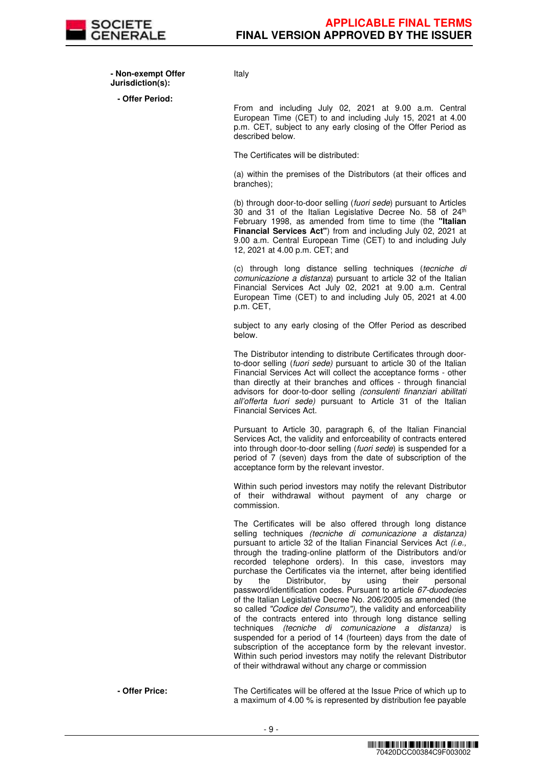

 **- Non-exempt Offer Jurisdiction(s):**

**- Offer Period:**

Italy

From and including July 02, 2021 at 9.00 a.m. Central European Time (CET) to and including July 15, 2021 at 4.00 p.m. CET, subject to any early closing of the Offer Period as described below.

The Certificates will be distributed:

(a) within the premises of the Distributors (at their offices and branches);

(b) through door-to-door selling (fuori sede) pursuant to Articles 30 and 31 of the Italian Legislative Decree No. 58 of  $24<sup>th</sup>$ February 1998, as amended from time to time (the **"Italian Financial Services Act"**) from and including July 02, 2021 at 9.00 a.m. Central European Time (CET) to and including July 12, 2021 at 4.00 p.m. CET; and

(c) through long distance selling techniques (tecniche di comunicazione a distanza) pursuant to article 32 of the Italian Financial Services Act July 02, 2021 at 9.00 a.m. Central European Time (CET) to and including July 05, 2021 at 4.00 p.m. CET,

subject to any early closing of the Offer Period as described below.

The Distributor intending to distribute Certificates through doorto-door selling (fuori sede) pursuant to article 30 of the Italian Financial Services Act will collect the acceptance forms - other than directly at their branches and offices - through financial advisors for door-to-door selling (consulenti finanziari abilitati all'offerta fuori sede) pursuant to Article 31 of the Italian Financial Services Act.

Pursuant to Article 30, paragraph 6, of the Italian Financial Services Act, the validity and enforceability of contracts entered into through door-to-door selling (fuori sede) is suspended for a period of 7 (seven) days from the date of subscription of the acceptance form by the relevant investor.

Within such period investors may notify the relevant Distributor of their withdrawal without payment of any charge or commission.

The Certificates will be also offered through long distance selling techniques *(tecniche di comunicazione a distanza)* pursuant to article 32 of the Italian Financial Services Act (i.e., through the trading-online platform of the Distributors and/or recorded telephone orders). In this case, investors may purchase the Certificates via the internet, after being identified<br>by the Distributor, by using their personal by the Distributor, by using their personal password/identification codes. Pursuant to article 67-duodecies of the Italian Legislative Decree No. 206/2005 as amended (the so called "Codice del Consumo"), the validity and enforceability of the contracts entered into through long distance selling techniques (tecniche di comunicazione a distanza) is suspended for a period of 14 (fourteen) days from the date of subscription of the acceptance form by the relevant investor. Within such period investors may notify the relevant Distributor of their withdrawal without any charge or commission

 **- Offer Price:** The Certificates will be offered at the Issue Price of which up to a maximum of 4.00 % is represented by distribution fee payable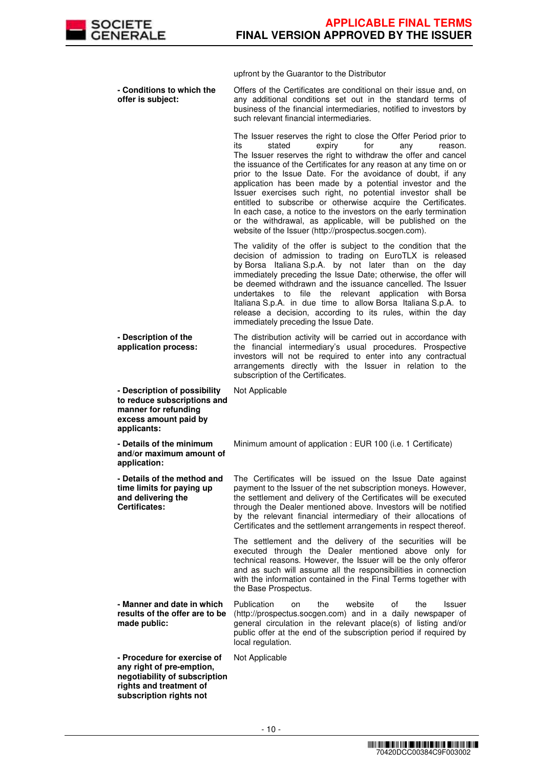

upfront by the Guarantor to the Distributor

 **- Conditions to which the offer is subject:** Offers of the Certificates are conditional on their issue and, on any additional conditions set out in the standard terms of business of the financial intermediaries, notified to investors by such relevant financial intermediaries. The Issuer reserves the right to close the Offer Period prior to its stated expiry for any reason. The Issuer reserves the right to withdraw the offer and cancel the issuance of the Certificates for any reason at any time on or prior to the Issue Date. For the avoidance of doubt, if any application has been made by a potential investor and the Issuer exercises such right, no potential investor shall be entitled to subscribe or otherwise acquire the Certificates. In each case, a notice to the investors on the early termination or the withdrawal, as applicable, will be published on the website of the Issuer (http://prospectus.socgen.com). The validity of the offer is subject to the condition that the decision of admission to trading on EuroTLX is released by Borsa Italiana S.p.A. by not later than on the day immediately preceding the Issue Date; otherwise, the offer will be deemed withdrawn and the issuance cancelled. The Issuer undertakes to file the relevant application with Borsa Italiana S.p.A. in due time to allow Borsa Italiana S.p.A. to release a decision, according to its rules, within the day immediately preceding the Issue Date. **- Description of the application process:** The distribution activity will be carried out in accordance with the financial intermediary's usual procedures. Prospective investors will not be required to enter into any contractual arrangements directly with the Issuer in relation to the subscription of the Certificates. **- Description of possibility to reduce subscriptions and manner for refunding excess amount paid by applicants:** Not Applicable **- Details of the minimum and/or maximum amount of application:** Minimum amount of application : EUR 100 (i.e. 1 Certificate) **- Details of the method and time limits for paying up and delivering the Certificates:** The Certificates will be issued on the Issue Date against payment to the Issuer of the net subscription moneys. However, the settlement and delivery of the Certificates will be executed through the Dealer mentioned above. Investors will be notified by the relevant financial intermediary of their allocations of Certificates and the settlement arrangements in respect thereof. The settlement and the delivery of the securities will be executed through the Dealer mentioned above only for technical reasons. However, the Issuer will be the only offeror and as such will assume all the responsibilities in connection with the information contained in the Final Terms together with the Base Prospectus. **- Manner and date in which results of the offer are to be made public:** Publication on the website of the Issuer (http://prospectus.socgen.com) and in a daily newspaper of general circulation in the relevant place(s) of listing and/or public offer at the end of the subscription period if required by local regulation. **- Procedure for exercise of any right of pre-emption, negotiability of subscription rights and treatment of subscription rights not**  Not Applicable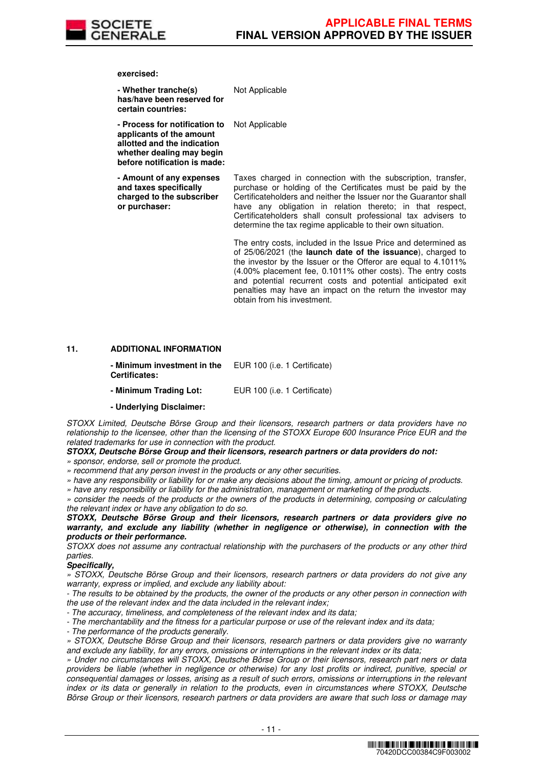

**exercised:**

| - Whether tranche(s)<br>has/have been reserved for<br>certain countries:                                                                              | Not Applicable                                                                                                                                                                                                                                                                                                                                                                                                                       |
|-------------------------------------------------------------------------------------------------------------------------------------------------------|--------------------------------------------------------------------------------------------------------------------------------------------------------------------------------------------------------------------------------------------------------------------------------------------------------------------------------------------------------------------------------------------------------------------------------------|
| - Process for notification to<br>applicants of the amount<br>allotted and the indication<br>whether dealing may begin<br>before notification is made: | Not Applicable                                                                                                                                                                                                                                                                                                                                                                                                                       |
| - Amount of any expenses<br>and taxes specifically<br>charged to the subscriber<br>or purchaser:                                                      | Taxes charged in connection with the subscription, transfer,<br>purchase or holding of the Certificates must be paid by the<br>Certificateholders and neither the Issuer nor the Guarantor shall<br>have any obligation in relation thereto; in that respect,<br>Certificateholders shall consult professional tax advisers to<br>determine the tax regime applicable to their own situation.                                        |
|                                                                                                                                                       | The entry costs, included in the Issue Price and determined as<br>of 25/06/2021 (the <b>launch date of the issuance</b> ), charged to<br>the investor by the Issuer or the Offeror are equal to 4.1011%<br>(4.00% placement fee, 0.1011% other costs). The entry costs<br>and potential recurrent costs and potential anticipated exit<br>penalties may have an impact on the return the investor may<br>obtain from his investment. |

## **11. ADDITIONAL INFORMATION**

| - Minimum investment in the | EUR 100 (i.e. 1 Certificate) |
|-----------------------------|------------------------------|
| <b>Certificates:</b>        |                              |

**- Minimum Trading Lot:** EUR 100 (i.e. 1 Certificate)

**- Underlying Disclaimer:**

STOXX Limited, Deutsche Börse Group and their licensors, research partners or data providers have no relationship to the licensee, other than the licensing of the STOXX Europe 600 Insurance Price EUR and the related trademarks for use in connection with the product.

# **STOXX, Deutsche Börse Group and their licensors, research partners or data providers do not:**

» sponsor, endorse, sell or promote the product.

» recommend that any person invest in the products or any other securities.

» have any responsibility or liability for or make any decisions about the timing, amount or pricing of products.

» have any responsibility or liability for the administration, management or marketing of the products.

» consider the needs of the products or the owners of the products in determining, composing or calculating the relevant index or have any obligation to do so.

**STOXX, Deutsche Börse Group and their licensors, research partners or data providers give no warranty, and exclude any liability (whether in negligence or otherwise), in connection with the products or their performance.**

STOXX does not assume any contractual relationship with the purchasers of the products or any other third parties.

#### **Specifically,**

» STOXX, Deutsche Börse Group and their licensors, research partners or data providers do not give any warranty, express or implied, and exclude any liability about:

- The results to be obtained by the products, the owner of the products or any other person in connection with the use of the relevant index and the data included in the relevant index;

- The accuracy, timeliness, and completeness of the relevant index and its data;

- The merchantability and the fitness for a particular purpose or use of the relevant index and its data;

- The performance of the products generally.

» STOXX, Deutsche Börse Group and their licensors, research partners or data providers give no warranty and exclude any liability, for any errors, omissions or interruptions in the relevant index or its data;

» Under no circumstances will STOXX, Deutsche Börse Group or their licensors, research part ners or data providers be liable (whether in negligence or otherwise) for any lost profits or indirect, punitive, special or consequential damages or losses, arising as a result of such errors, omissions or interruptions in the relevant index or its data or generally in relation to the products, even in circumstances where STOXX, Deutsche Börse Group or their licensors, research partners or data providers are aware that such loss or damage may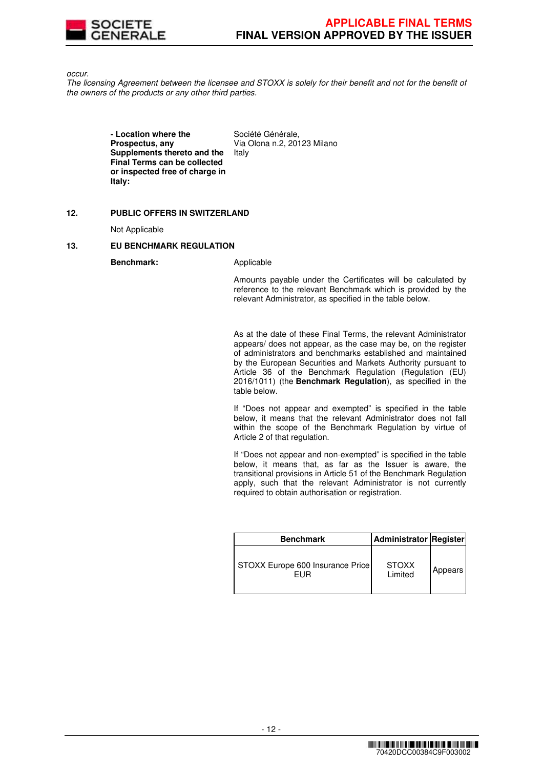

occur.

The licensing Agreement between the licensee and STOXX is solely for their benefit and not for the benefit of the owners of the products or any other third parties.

> **- Location where the Prospectus, any Supplements thereto and the Final Terms can be collected or inspected free of charge in Italy:**

Société Générale, Via Olona n.2, 20123 Milano Italy

## **12. PUBLIC OFFERS IN SWITZERLAND**

Not Applicable

## **13. EU BENCHMARK REGULATION**

**Benchmark:** Applicable

Amounts payable under the Certificates will be calculated by reference to the relevant Benchmark which is provided by the relevant Administrator, as specified in the table below.

As at the date of these Final Terms, the relevant Administrator appears/ does not appear, as the case may be, on the register of administrators and benchmarks established and maintained by the European Securities and Markets Authority pursuant to Article 36 of the Benchmark Regulation (Regulation (EU) 2016/1011) (the **Benchmark Regulation**), as specified in the table below.

If "Does not appear and exempted" is specified in the table below, it means that the relevant Administrator does not fall within the scope of the Benchmark Regulation by virtue of Article 2 of that regulation.

If "Does not appear and non-exempted" is specified in the table below, it means that, as far as the Issuer is aware, the transitional provisions in Article 51 of the Benchmark Regulation apply, such that the relevant Administrator is not currently required to obtain authorisation or registration.

| <b>Benchmark</b>                        | <b>Administrator Register</b> |         |
|-----------------------------------------|-------------------------------|---------|
| STOXX Europe 600 Insurance Price<br>FUR | <b>STOXX</b><br>Limited       | Appears |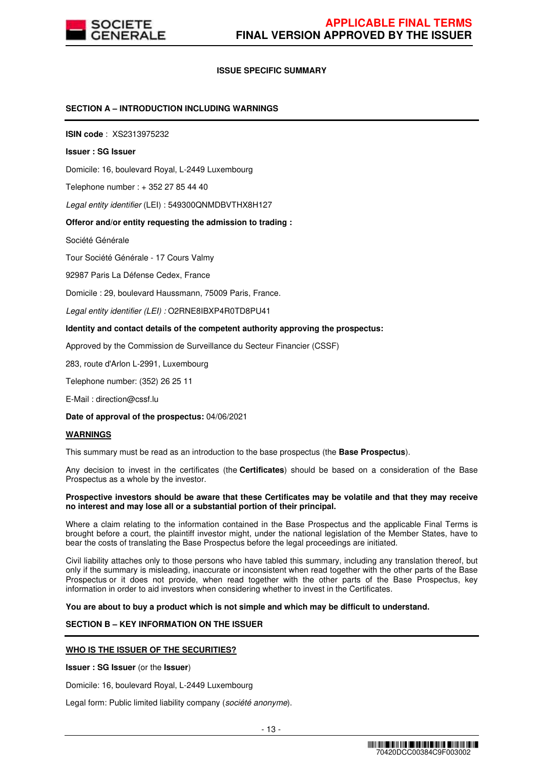

## **ISSUE SPECIFIC SUMMARY**

## **SECTION A – INTRODUCTION INCLUDING WARNINGS**

**ISIN code** : XS2313975232

#### **Issuer : SG Issuer**

Domicile: 16, boulevard Royal, L-2449 Luxembourg

Telephone number : + 352 27 85 44 40

Legal entity identifier (LEI) : 549300QNMDBVTHX8H127

#### **Offeror and/or entity requesting the admission to trading :**

Société Générale

Tour Société Générale - 17 Cours Valmy

92987 Paris La Défense Cedex, France

Domicile : 29, boulevard Haussmann, 75009 Paris, France.

Legal entity identifier (LEI) : O2RNE8IBXP4R0TD8PU41

#### **Identity and contact details of the competent authority approving the prospectus:**

Approved by the Commission de Surveillance du Secteur Financier (CSSF)

283, route d'Arlon L-2991, Luxembourg

Telephone number: (352) 26 25 11

E-Mail : direction@cssf.lu

**Date of approval of the prospectus:** 04/06/2021

#### **WARNINGS**

This summary must be read as an introduction to the base prospectus (the **Base Prospectus**).

Any decision to invest in the certificates (the **Certificates**) should be based on a consideration of the Base Prospectus as a whole by the investor.

#### **Prospective investors should be aware that these Certificates may be volatile and that they may receive no interest and may lose all or a substantial portion of their principal.**

Where a claim relating to the information contained in the Base Prospectus and the applicable Final Terms is brought before a court, the plaintiff investor might, under the national legislation of the Member States, have to bear the costs of translating the Base Prospectus before the legal proceedings are initiated.

Civil liability attaches only to those persons who have tabled this summary, including any translation thereof, but only if the summary is misleading, inaccurate or inconsistent when read together with the other parts of the Base Prospectus or it does not provide, when read together with the other parts of the Base Prospectus, key information in order to aid investors when considering whether to invest in the Certificates.

**You are about to buy a product which is not simple and which may be difficult to understand.**

# **SECTION B – KEY INFORMATION ON THE ISSUER**

## **WHO IS THE ISSUER OF THE SECURITIES?**

**Issuer : SG Issuer** (or the **Issuer**)

Domicile: 16, boulevard Royal, L-2449 Luxembourg

Legal form: Public limited liability company (société anonyme).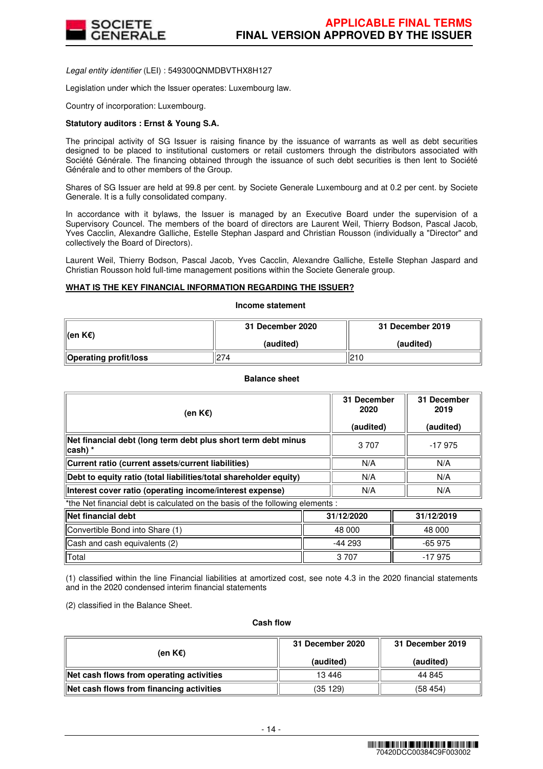

Legal entity identifier (LEI) : 549300QNMDBVTHX8H127

Legislation under which the Issuer operates: Luxembourg law.

Country of incorporation: Luxembourg.

## **Statutory auditors : Ernst & Young S.A.**

The principal activity of SG Issuer is raising finance by the issuance of warrants as well as debt securities designed to be placed to institutional customers or retail customers through the distributors associated with Société Générale. The financing obtained through the issuance of such debt securities is then lent to Société Générale and to other members of the Group.

Shares of SG Issuer are held at 99.8 per cent. by Societe Generale Luxembourg and at 0.2 per cent. by Societe Generale. It is a fully consolidated company.

In accordance with it bylaws, the Issuer is managed by an Executive Board under the supervision of a Supervisory Councel. The members of the board of directors are Laurent Weil, Thierry Bodson, Pascal Jacob, Yves Cacclin, Alexandre Galliche, Estelle Stephan Jaspard and Christian Rousson (individually a "Director" and collectively the Board of Directors).

Laurent Weil, Thierry Bodson, Pascal Jacob, Yves Cacclin, Alexandre Galliche, Estelle Stephan Jaspard and Christian Rousson hold full-time management positions within the Societe Generale group.

## **WHAT IS THE KEY FINANCIAL INFORMATION REGARDING THE ISSUER?**

**Income statement**

| ∥(en K€)                     | 31 December 2020 | 31 December 2019 |  |
|------------------------------|------------------|------------------|--|
|                              | (audited)        | (audited)        |  |
| <b>Operating profit/loss</b> | 274              | 210              |  |

## **Balance sheet**

| (en K€)                                                                        | 31 December<br>2020<br>(audited) | 31 December<br>2019<br>(audited) |
|--------------------------------------------------------------------------------|----------------------------------|----------------------------------|
| Net financial debt (long term debt plus short term debt minus<br>∣cash) *      | 3 7 0 7                          | -17975                           |
| Current ratio (current assets/current liabilities)                             | N/A                              | N/A                              |
| Debt to equity ratio (total liabilities/total shareholder equity)              | N/A                              | N/A                              |
| Interest cover ratio (operating income/interest expense)                       | N/A                              | N/A                              |
| *the Net financial debt is calculated on the basis of the following elements : |                                  |                                  |

| <b>Net financial debt</b>       | 31/12/2020 | 31/12/2019 |
|---------------------------------|------------|------------|
| Convertible Bond into Share (1) | 48 000     | 48 000     |
| Cash and cash equivalents (2)   | $-44293$   | $-65975$   |
| <b>Total</b>                    | 3 707      | -17 975    |

(1) classified within the line Financial liabilities at amortized cost, see note 4.3 in the 2020 financial statements and in the 2020 condensed interim financial statements

(2) classified in the Balance Sheet.

#### **Cash flow**

| (en K€)                                  | 31 December 2020 | 31 December 2019 |  |
|------------------------------------------|------------------|------------------|--|
|                                          | (audited)        | (audited)        |  |
| Net cash flows from operating activities | 13 4 46          | 44 845           |  |
| Net cash flows from financing activities | (35 129)         | (58454)          |  |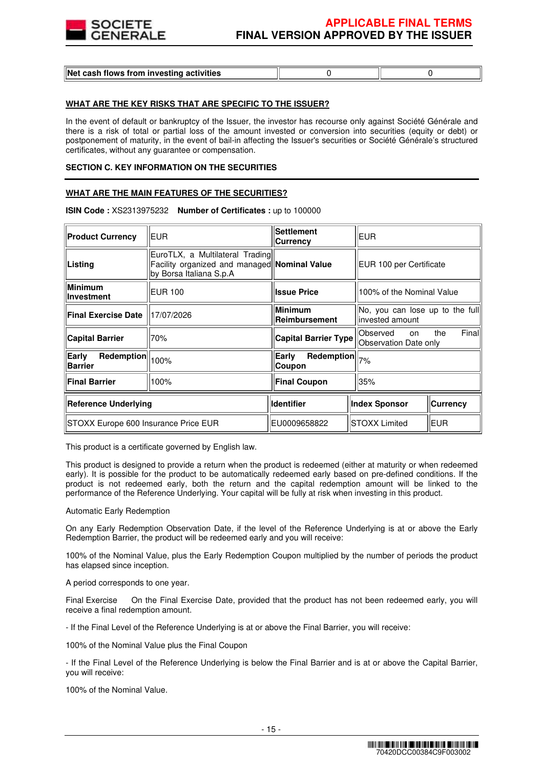

## **WHAT ARE THE KEY RISKS THAT ARE SPECIFIC TO THE ISSUER?**

In the event of default or bankruptcy of the Issuer, the investor has recourse only against Société Générale and there is a risk of total or partial loss of the amount invested or conversion into securities (equity or debt) or postponement of maturity, in the event of bail-in affecting the Issuer's securities or Société Générale's structured certificates, without any guarantee or compensation.

#### **SECTION C. KEY INFORMATION ON THE SECURITIES**

## **WHAT ARE THE MAIN FEATURES OF THE SECURITIES?**

| <b>Product Currency</b>               | <b>EUR</b>                                                                                                 | <b>Settlement</b><br>Currency   | EUR                                                 |                 |
|---------------------------------------|------------------------------------------------------------------------------------------------------------|---------------------------------|-----------------------------------------------------|-----------------|
| Listing                               | EuroTLX, a Multilateral Trading<br>Facility organized and managed Nominal Value<br>by Borsa Italiana S.p.A |                                 | EUR 100 per Certificate                             |                 |
| <b>Minimum</b><br>Investment          | <b>EUR 100</b>                                                                                             | <b>Issue Price</b>              | 100% of the Nominal Value                           |                 |
| <b>Final Exercise Date</b>            | 17/07/2026                                                                                                 | <b>Minimum</b><br>Reimbursement | No, you can lose up to the full<br>linvested amount |                 |
| <b>Capital Barrier</b>                | 70%                                                                                                        | <b>Capital Barrier Type</b>     | Observed<br><sub>on</sub><br>Observation Date only  | Finall<br>the   |
| Redemption<br>Early<br><b>Barrier</b> | 100%                                                                                                       | Redemption<br>Early<br>Coupon   | 7%                                                  |                 |
| <b>Final Barrier</b>                  | 100%                                                                                                       | <b>Final Coupon</b>             | 35%                                                 |                 |
| <b>Reference Underlying</b>           |                                                                                                            | <b>Identifier</b>               | <b>Index Sponsor</b>                                | <b>Currency</b> |
| STOXX Europe 600 Insurance Price EUR  |                                                                                                            | EU0009658822                    | <b>ISTOXX Limited</b>                               | EUR             |

**ISIN Code :** XS2313975232 **Number of Certificates :** up to 100000

This product is a certificate governed by English law.

This product is designed to provide a return when the product is redeemed (either at maturity or when redeemed early). It is possible for the product to be automatically redeemed early based on pre-defined conditions. If the product is not redeemed early, both the return and the capital redemption amount will be linked to the performance of the Reference Underlying. Your capital will be fully at risk when investing in this product.

#### Automatic Early Redemption

On any Early Redemption Observation Date, if the level of the Reference Underlying is at or above the Early Redemption Barrier, the product will be redeemed early and you will receive:

100% of the Nominal Value, plus the Early Redemption Coupon multiplied by the number of periods the product has elapsed since inception.

A period corresponds to one year.

Final Exercise On the Final Exercise Date, provided that the product has not been redeemed early, you will receive a final redemption amount.

- If the Final Level of the Reference Underlying is at or above the Final Barrier, you will receive:

100% of the Nominal Value plus the Final Coupon

- If the Final Level of the Reference Underlying is below the Final Barrier and is at or above the Capital Barrier, you will receive:

100% of the Nominal Value.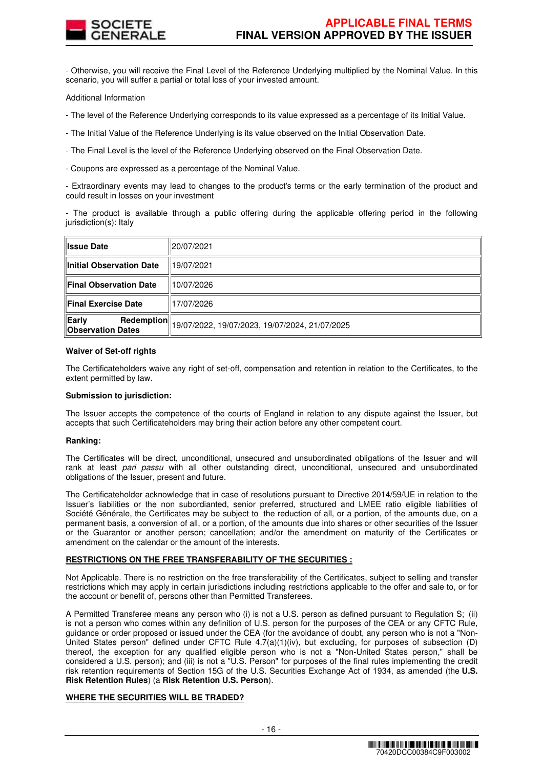

- Otherwise, you will receive the Final Level of the Reference Underlying multiplied by the Nominal Value. In this scenario, you will suffer a partial or total loss of your invested amount.

Additional Information

- The level of the Reference Underlying corresponds to its value expressed as a percentage of its Initial Value.

- The Initial Value of the Reference Underlying is its value observed on the Initial Observation Date.

- The Final Level is the level of the Reference Underlying observed on the Final Observation Date.

- Coupons are expressed as a percentage of the Nominal Value.

- Extraordinary events may lead to changes to the product's terms or the early termination of the product and could result in losses on your investment

- The product is available through a public offering during the applicable offering period in the following jurisdiction(s): Italy

| <b>∥Issue Date</b>                                     | 20/07/2021                                     |
|--------------------------------------------------------|------------------------------------------------|
| Initial Observation Date                               | 19/07/2021                                     |
| Final Observation Date                                 | 10/07/2026                                     |
| Final Exercise Date                                    | 17/07/2026                                     |
| Early<br><b>Redemption</b><br><b>Observation Dates</b> | 19/07/2022, 19/07/2023, 19/07/2024, 21/07/2025 |

#### **Waiver of Set-off rights**

The Certificateholders waive any right of set-off, compensation and retention in relation to the Certificates, to the extent permitted by law.

## **Submission to jurisdiction:**

The Issuer accepts the competence of the courts of England in relation to any dispute against the Issuer, but accepts that such Certificateholders may bring their action before any other competent court.

#### **Ranking:**

The Certificates will be direct, unconditional, unsecured and unsubordinated obligations of the Issuer and will rank at least pari passu with all other outstanding direct, unconditional, unsecured and unsubordinated obligations of the Issuer, present and future.

The Certificateholder acknowledge that in case of resolutions pursuant to Directive 2014/59/UE in relation to the Issuer's liabilities or the non subordianted, senior preferred, structured and LMEE ratio eligible liabilities of Société Générale, the Certificates may be subject to the reduction of all, or a portion, of the amounts due, on a permanent basis, a conversion of all, or a portion, of the amounts due into shares or other securities of the Issuer or the Guarantor or another person; cancellation; and/or the amendment on maturity of the Certificates or amendment on the calendar or the amount of the interests.

## **RESTRICTIONS ON THE FREE TRANSFERABILITY OF THE SECURITIES :**

Not Applicable. There is no restriction on the free transferability of the Certificates, subject to selling and transfer restrictions which may apply in certain jurisdictions including restrictions applicable to the offer and sale to, or for the account or benefit of, persons other than Permitted Transferees.

A Permitted Transferee means any person who (i) is not a U.S. person as defined pursuant to Regulation S; (ii) is not a person who comes within any definition of U.S. person for the purposes of the CEA or any CFTC Rule, guidance or order proposed or issued under the CEA (for the avoidance of doubt, any person who is not a "Non-United States person" defined under CFTC Rule 4.7(a)(1)(iv), but excluding, for purposes of subsection (D) thereof, the exception for any qualified eligible person who is not a "Non-United States person," shall be considered a U.S. person); and (iii) is not a "U.S. Person" for purposes of the final rules implementing the credit risk retention requirements of Section 15G of the U.S. Securities Exchange Act of 1934, as amended (the **U.S. Risk Retention Rules**) (a **Risk Retention U.S. Person**).

# **WHERE THE SECURITIES WILL BE TRADED?**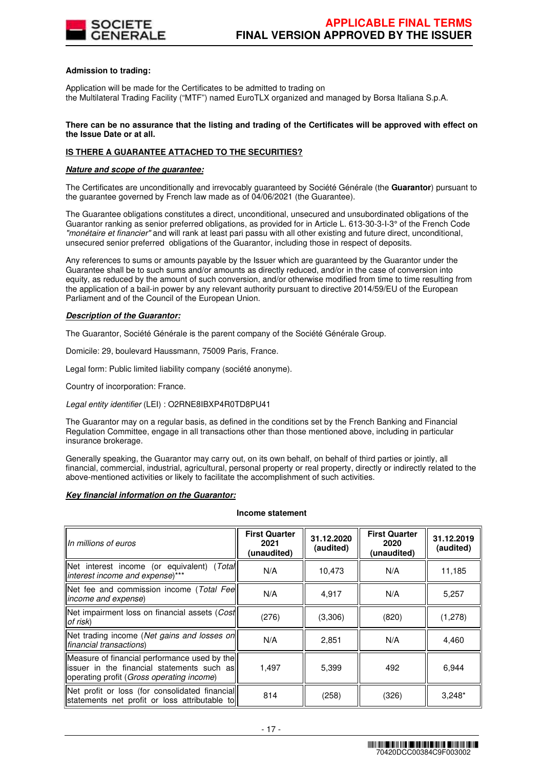

## **Admission to trading:**

Application will be made for the Certificates to be admitted to trading on the Multilateral Trading Facility ("MTF") named EuroTLX organized and managed by Borsa Italiana S.p.A.

#### **There can be no assurance that the listing and trading of the Certificates will be approved with effect on the Issue Date or at all.**

# **IS THERE A GUARANTEE ATTACHED TO THE SECURITIES?**

## **Nature and scope of the guarantee:**

The Certificates are unconditionally and irrevocably guaranteed by Société Générale (the **Guarantor**) pursuant to the guarantee governed by French law made as of 04/06/2021 (the Guarantee).

The Guarantee obligations constitutes a direct, unconditional, unsecured and unsubordinated obligations of the Guarantor ranking as senior preferred obligations, as provided for in Article L. 613-30-3-I-3° of the French Code "monétaire et financier" and will rank at least pari passu with all other existing and future direct, unconditional, unsecured senior preferred obligations of the Guarantor, including those in respect of deposits.

Any references to sums or amounts payable by the Issuer which are guaranteed by the Guarantor under the Guarantee shall be to such sums and/or amounts as directly reduced, and/or in the case of conversion into equity, as reduced by the amount of such conversion, and/or otherwise modified from time to time resulting from the application of a bail-in power by any relevant authority pursuant to directive 2014/59/EU of the European Parliament and of the Council of the European Union.

# **Description of the Guarantor:**

The Guarantor, Société Générale is the parent company of the Société Générale Group.

Domicile: 29, boulevard Haussmann, 75009 Paris, France.

Legal form: Public limited liability company (société anonyme).

Country of incorporation: France.

Legal entity identifier (LEI) : O2RNE8IBXP4R0TD8PU41

The Guarantor may on a regular basis, as defined in the conditions set by the French Banking and Financial Regulation Committee, engage in all transactions other than those mentioned above, including in particular insurance brokerage.

Generally speaking, the Guarantor may carry out, on its own behalf, on behalf of third parties or jointly, all financial, commercial, industrial, agricultural, personal property or real property, directly or indirectly related to the above-mentioned activities or likely to facilitate the accomplishment of such activities.

## **Key financial information on the Guarantor:**

## **Income statement**

| Un millions of euros                                                                                                                       | <b>First Quarter</b><br>2021<br>(unaudited) | 31.12.2020<br>(audited) | <b>First Quarter</b><br>2020<br>(unaudited) | 31.12.2019<br>(audited) |
|--------------------------------------------------------------------------------------------------------------------------------------------|---------------------------------------------|-------------------------|---------------------------------------------|-------------------------|
| Net interest income (or equivalent) (Total<br>interest income and expense)***                                                              | N/A                                         | 10,473                  | N/A                                         | 11,185                  |
| Net fee and commission income (Total Fee<br>income and expense)                                                                            | N/A                                         | 4,917                   | N/A                                         | 5,257                   |
| Net impairment loss on financial assets (Cost<br>of risk)                                                                                  | (276)                                       | (3,306)                 | (820)                                       | (1,278)                 |
| Net trading income (Net gains and losses on<br>financial transactions)                                                                     | N/A                                         | 2,851                   | N/A                                         | 4,460                   |
| Measure of financial performance used by the<br>lissuer in the financial statements such asll<br>operating profit (Gross operating income) | 1.497                                       | 5,399                   | 492                                         | 6,944                   |
| Net profit or loss (for consolidated financial<br>statements net profit or loss attributable to                                            | 814                                         | (258)                   | (326)                                       | $3,248*$                |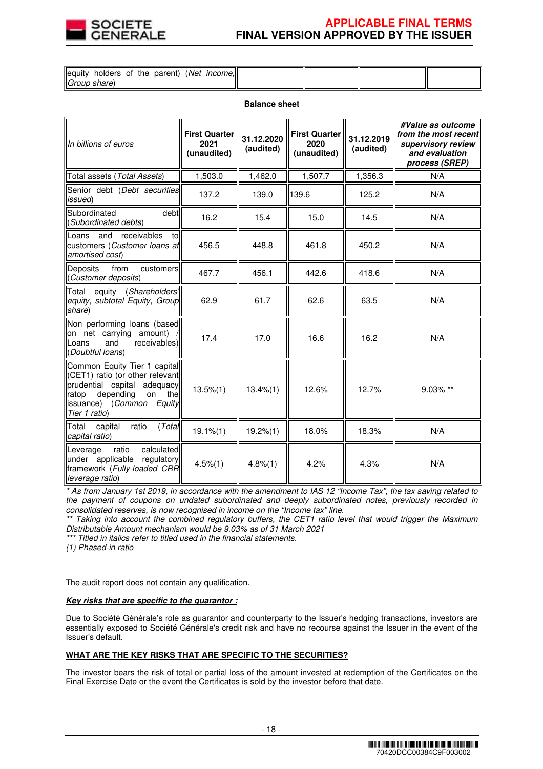

# **APPLICABLE FINAL TERMS FINAL VERSION APPROVED BY THE ISSUER**

| lequity holders of the parent) (Net income, |  |  |
|---------------------------------------------|--|--|
|                                             |  |  |
| Group share)                                |  |  |

#### **Balance sheet**

| In billions of euros                                                                                                                                                                      | <b>First Quarter</b><br>2021<br>(unaudited) | 31.12.2020<br>(audited) | <b>First Quarter</b><br>2020<br>(unaudited) | 31.12.2019<br>(audited) | #Value as outcome<br>from the most recent<br>supervisory review<br>and evaluation<br>process (SREP) |
|-------------------------------------------------------------------------------------------------------------------------------------------------------------------------------------------|---------------------------------------------|-------------------------|---------------------------------------------|-------------------------|-----------------------------------------------------------------------------------------------------|
| Total assets (Total Assets)                                                                                                                                                               | 1,503.0                                     | 1,462.0                 | 1,507.7                                     | 1,356.3                 | N/A                                                                                                 |
| Senior debt (Debt securities<br>issued)                                                                                                                                                   | 137.2                                       | 139.0                   | 139.6                                       | 125.2                   | N/A                                                                                                 |
| debt<br>Subordinated<br>(Subordinated debts)                                                                                                                                              | 16.2                                        | 15.4                    | 15.0                                        | 14.5                    | N/A                                                                                                 |
| and<br>receivables<br>to<br>Loans<br>customers (Customer loans at<br>amortised cost)                                                                                                      | 456.5                                       | 448.8                   | 461.8                                       | 450.2                   | N/A                                                                                                 |
| from<br>Deposits<br>customers<br>(Customer deposits)                                                                                                                                      | 467.7                                       | 456.1                   | 442.6                                       | 418.6                   | N/A                                                                                                 |
| equity (Shareholders'<br>Total<br>equity, subtotal Equity, Group<br>share)                                                                                                                | 62.9                                        | 61.7                    | 62.6                                        | 63.5                    | N/A                                                                                                 |
| Non performing loans (based<br>on net carrying amount)<br>receivables)<br>and<br>Loans<br>(Doubtful loans)                                                                                | 17.4                                        | 17.0                    | 16.6                                        | 16.2                    | N/A                                                                                                 |
| Common Equity Tier 1 capital<br>(CET1) ratio (or other relevant<br>prudential capital adequacy<br>depending<br>on<br>the<br>ratop<br>issuance) ( <i>Common</i><br>Equity<br>Tier 1 ratio) | $13.5\%(1)$                                 | $13.4\%(1)$             | 12.6%                                       | 12.7%                   | 9.03% **                                                                                            |
| ratio<br>(Total<br>Total<br>capital<br>capital ratio)                                                                                                                                     | $19.1\% (1)$                                | $19.2\%(1)$             | 18.0%                                       | 18.3%                   | N/A                                                                                                 |
| calculated<br>ratio<br>Leverage<br>under applicable<br>regulatory<br>framework (Fully-loaded CRR<br>leverage ratio)                                                                       | $4.5\%(1)$                                  | 4.8%(1)                 | 4.2%                                        | 4.3%                    | N/A                                                                                                 |

\* As from January 1st 2019, in accordance with the amendment to IAS 12 "Income Tax", the tax saving related to the payment of coupons on undated subordinated and deeply subordinated notes, previously recorded in consolidated reserves, is now recognised in income on the "Income tax" line.

\*\* Taking into account the combined regulatory buffers, the CET1 ratio level that would trigger the Maximum Distributable Amount mechanism would be 9.03% as of 31 March 2021

\*\*\* Titled in italics refer to titled used in the financial statements.

(1) Phased-in ratio

The audit report does not contain any qualification.

#### **Key risks that are specific to the guarantor :**

Due to Société Générale's role as guarantor and counterparty to the Issuer's hedging transactions, investors are essentially exposed to Société Générale's credit risk and have no recourse against the Issuer in the event of the Issuer's default.

# **WHAT ARE THE KEY RISKS THAT ARE SPECIFIC TO THE SECURITIES?**

The investor bears the risk of total or partial loss of the amount invested at redemption of the Certificates on the Final Exercise Date or the event the Certificates is sold by the investor before that date.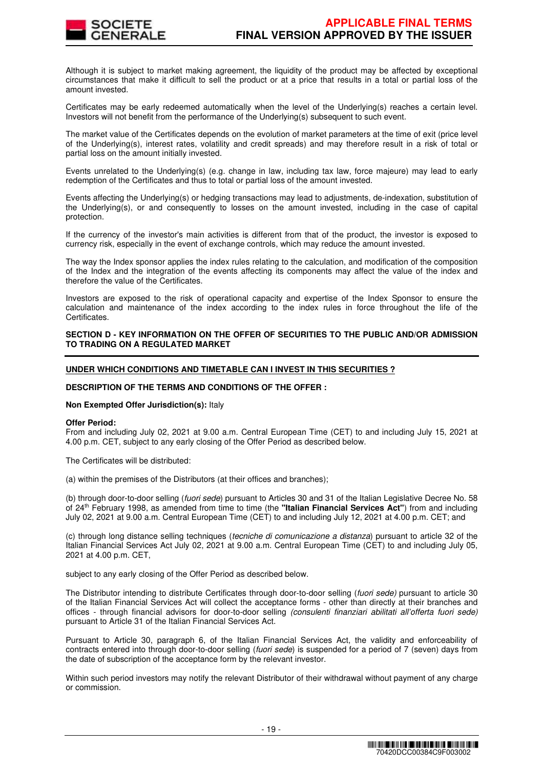

Although it is subject to market making agreement, the liquidity of the product may be affected by exceptional circumstances that make it difficult to sell the product or at a price that results in a total or partial loss of the amount invested.

Certificates may be early redeemed automatically when the level of the Underlying(s) reaches a certain level. Investors will not benefit from the performance of the Underlying(s) subsequent to such event.

The market value of the Certificates depends on the evolution of market parameters at the time of exit (price level of the Underlying(s), interest rates, volatility and credit spreads) and may therefore result in a risk of total or partial loss on the amount initially invested.

Events unrelated to the Underlying(s) (e.g. change in law, including tax law, force majeure) may lead to early redemption of the Certificates and thus to total or partial loss of the amount invested.

Events affecting the Underlying(s) or hedging transactions may lead to adjustments, de-indexation, substitution of the Underlying(s), or and consequently to losses on the amount invested, including in the case of capital protection.

If the currency of the investor's main activities is different from that of the product, the investor is exposed to currency risk, especially in the event of exchange controls, which may reduce the amount invested.

The way the Index sponsor applies the index rules relating to the calculation, and modification of the composition of the Index and the integration of the events affecting its components may affect the value of the index and therefore the value of the Certificates.

Investors are exposed to the risk of operational capacity and expertise of the Index Sponsor to ensure the calculation and maintenance of the index according to the index rules in force throughout the life of the Certificates.

## **SECTION D - KEY INFORMATION ON THE OFFER OF SECURITIES TO THE PUBLIC AND/OR ADMISSION TO TRADING ON A REGULATED MARKET**

## **UNDER WHICH CONDITIONS AND TIMETABLE CAN I INVEST IN THIS SECURITIES ?**

#### **DESCRIPTION OF THE TERMS AND CONDITIONS OF THE OFFER :**

#### **Non Exempted Offer Jurisdiction(s):** Italy

#### **Offer Period:**

From and including July 02, 2021 at 9.00 a.m. Central European Time (CET) to and including July 15, 2021 at 4.00 p.m. CET, subject to any early closing of the Offer Period as described below.

The Certificates will be distributed:

(a) within the premises of the Distributors (at their offices and branches);

(b) through door-to-door selling (fuori sede) pursuant to Articles 30 and 31 of the Italian Legislative Decree No. 58 of 24th February 1998, as amended from time to time (the **"Italian Financial Services Act"**) from and including July 02, 2021 at 9.00 a.m. Central European Time (CET) to and including July 12, 2021 at 4.00 p.m. CET; and

(c) through long distance selling techniques (tecniche di comunicazione a distanza) pursuant to article 32 of the Italian Financial Services Act July 02, 2021 at 9.00 a.m. Central European Time (CET) to and including July 05, 2021 at 4.00 p.m. CET,

subject to any early closing of the Offer Period as described below.

The Distributor intending to distribute Certificates through door-to-door selling (fuori sede) pursuant to article 30 of the Italian Financial Services Act will collect the acceptance forms - other than directly at their branches and offices - through financial advisors for door-to-door selling (consulenti finanziari abilitati all'offerta fuori sede) pursuant to Article 31 of the Italian Financial Services Act.

Pursuant to Article 30, paragraph 6, of the Italian Financial Services Act, the validity and enforceability of contracts entered into through door-to-door selling (fuori sede) is suspended for a period of 7 (seven) days from the date of subscription of the acceptance form by the relevant investor.

Within such period investors may notify the relevant Distributor of their withdrawal without payment of any charge or commission.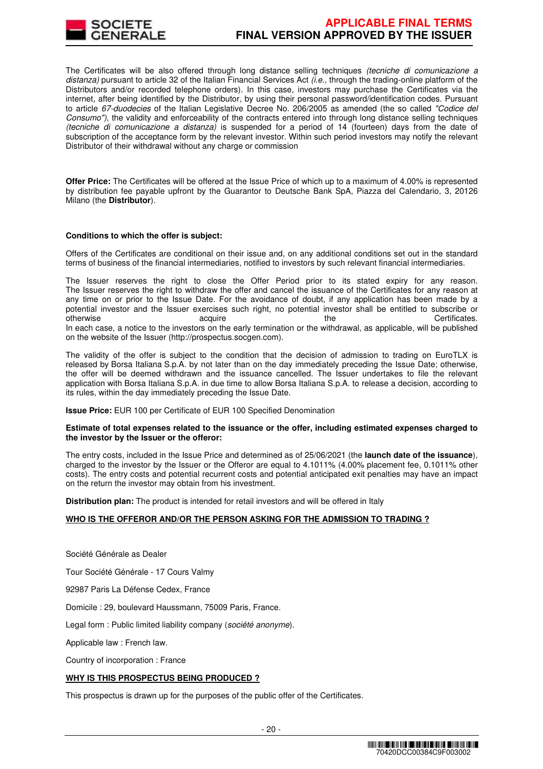

The Certificates will be also offered through long distance selling techniques (tecniche di comunicazione a distanza) pursuant to article 32 of the Italian Financial Services Act  $\ddot{\mu}e$ , through the trading-online platform of the Distributors and/or recorded telephone orders). In this case, investors may purchase the Certificates via the internet, after being identified by the Distributor, by using their personal password/identification codes. Pursuant to article 67-duodecies of the Italian Legislative Decree No. 206/2005 as amended (the so called "Codice del Consumo"), the validity and enforceability of the contracts entered into through long distance selling techniques (tecniche di comunicazione a distanza) is suspended for a period of 14 (fourteen) days from the date of subscription of the acceptance form by the relevant investor. Within such period investors may notify the relevant Distributor of their withdrawal without any charge or commission

**Offer Price:** The Certificates will be offered at the Issue Price of which up to a maximum of 4.00% is represented by distribution fee payable upfront by the Guarantor to Deutsche Bank SpA, Piazza del Calendario, 3, 20126 Milano (the **Distributor**).

## **Conditions to which the offer is subject:**

Offers of the Certificates are conditional on their issue and, on any additional conditions set out in the standard terms of business of the financial intermediaries, notified to investors by such relevant financial intermediaries.

The Issuer reserves the right to close the Offer Period prior to its stated expiry for any reason. The Issuer reserves the right to withdraw the offer and cancel the issuance of the Certificates for any reason at any time on or prior to the Issue Date. For the avoidance of doubt, if any application has been made by a potential investor and the Issuer exercises such right, no potential investor shall be entitled to subscribe or<br>
acquire the certificates. otherwise acquire acquire the the Certificates. In each case, a notice to the investors on the early termination or the withdrawal, as applicable, will be published on the website of the Issuer (http://prospectus.socgen.com).

The validity of the offer is subject to the condition that the decision of admission to trading on EuroTLX is released by Borsa Italiana S.p.A. by not later than on the day immediately preceding the Issue Date; otherwise, the offer will be deemed withdrawn and the issuance cancelled. The Issuer undertakes to file the relevant application with Borsa Italiana S.p.A. in due time to allow Borsa Italiana S.p.A. to release a decision, according to its rules, within the day immediately preceding the Issue Date.

**Issue Price:** EUR 100 per Certificate of EUR 100 Specified Denomination

#### **Estimate of total expenses related to the issuance or the offer, including estimated expenses charged to the investor by the Issuer or the offeror:**

The entry costs, included in the Issue Price and determined as of 25/06/2021 (the **launch date of the issuance**), charged to the investor by the Issuer or the Offeror are equal to 4.1011% (4.00% placement fee, 0.1011% other costs). The entry costs and potential recurrent costs and potential anticipated exit penalties may have an impact on the return the investor may obtain from his investment.

**Distribution plan:** The product is intended for retail investors and will be offered in Italy

# **WHO IS THE OFFEROR AND/OR THE PERSON ASKING FOR THE ADMISSION TO TRADING ?**

Société Générale as Dealer

Tour Société Générale - 17 Cours Valmy

92987 Paris La Défense Cedex, France

Domicile : 29, boulevard Haussmann, 75009 Paris, France.

Legal form : Public limited liability company (société anonyme).

Applicable law : French law.

Country of incorporation : France

# **WHY IS THIS PROSPECTUS BEING PRODUCED ?**

This prospectus is drawn up for the purposes of the public offer of the Certificates.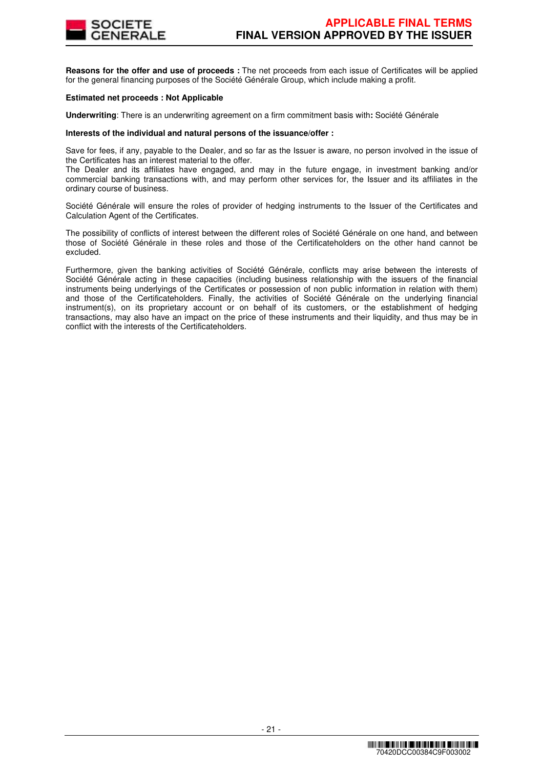

**Reasons for the offer and use of proceeds :** The net proceeds from each issue of Certificates will be applied for the general financing purposes of the Société Générale Group, which include making a profit.

#### **Estimated net proceeds : Not Applicable**

**Underwriting**: There is an underwriting agreement on a firm commitment basis with**:** Société Générale

#### **Interests of the individual and natural persons of the issuance/offer :**

Save for fees, if any, payable to the Dealer, and so far as the Issuer is aware, no person involved in the issue of the Certificates has an interest material to the offer.

The Dealer and its affiliates have engaged, and may in the future engage, in investment banking and/or commercial banking transactions with, and may perform other services for, the Issuer and its affiliates in the ordinary course of business.

Société Générale will ensure the roles of provider of hedging instruments to the Issuer of the Certificates and Calculation Agent of the Certificates.

The possibility of conflicts of interest between the different roles of Société Générale on one hand, and between those of Société Générale in these roles and those of the Certificateholders on the other hand cannot be excluded.

Furthermore, given the banking activities of Société Générale, conflicts may arise between the interests of Société Générale acting in these capacities (including business relationship with the issuers of the financial instruments being underlyings of the Certificates or possession of non public information in relation with them) and those of the Certificateholders. Finally, the activities of Société Générale on the underlying financial instrument(s), on its proprietary account or on behalf of its customers, or the establishment of hedging transactions, may also have an impact on the price of these instruments and their liquidity, and thus may be in conflict with the interests of the Certificateholders.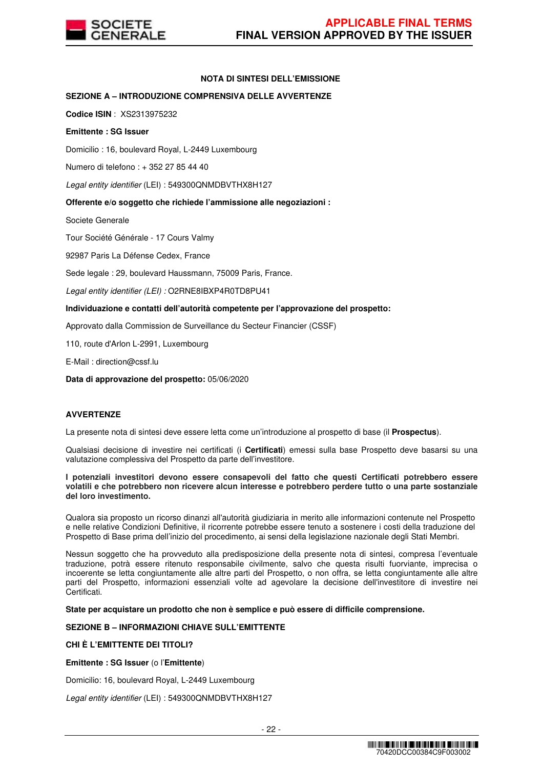

# **NOTA DI SINTESI DELL'EMISSIONE**

## **SEZIONE A – INTRODUZIONE COMPRENSIVA DELLE AVVERTENZE**

**Codice ISIN** : XS2313975232

#### **Emittente : SG Issuer**

Domicilio : 16, boulevard Royal, L-2449 Luxembourg

Numero di telefono : + 352 27 85 44 40

Legal entity identifier (LEI) : 549300QNMDBVTHX8H127

## **Offerente e/o soggetto che richiede l'ammissione alle negoziazioni :**

Societe Generale

Tour Société Générale - 17 Cours Valmy

92987 Paris La Défense Cedex, France

Sede legale : 29, boulevard Haussmann, 75009 Paris, France.

Legal entity identifier (LEI) : O2RNE8IBXP4R0TD8PU41

## **Individuazione e contatti dell'autorità competente per l'approvazione del prospetto:**

Approvato dalla Commission de Surveillance du Secteur Financier (CSSF)

110, route d'Arlon L-2991, Luxembourg

E-Mail : direction@cssf.lu

**Data di approvazione del prospetto:** 05/06/2020

#### **AVVERTENZE**

La presente nota di sintesi deve essere letta come un'introduzione al prospetto di base (il **Prospectus**).

Qualsiasi decisione di investire nei certificati (i **Certificati**) emessi sulla base Prospetto deve basarsi su una valutazione complessiva del Prospetto da parte dell'investitore.

**I potenziali investitori devono essere consapevoli del fatto che questi Certificati potrebbero essere volatili e che potrebbero non ricevere alcun interesse e potrebbero perdere tutto o una parte sostanziale del loro investimento.** 

Qualora sia proposto un ricorso dinanzi all'autorità giudiziaria in merito alle informazioni contenute nel Prospetto e nelle relative Condizioni Definitive, il ricorrente potrebbe essere tenuto a sostenere i costi della traduzione del Prospetto di Base prima dell'inizio del procedimento, ai sensi della legislazione nazionale degli Stati Membri.

Nessun soggetto che ha provveduto alla predisposizione della presente nota di sintesi, compresa l'eventuale traduzione, potrà essere ritenuto responsabile civilmente, salvo che questa risulti fuorviante, imprecisa o incoerente se letta congiuntamente alle altre parti del Prospetto, o non offra, se letta congiuntamente alle altre parti del Prospetto, informazioni essenziali volte ad agevolare la decisione dell'investitore di investire nei Certificati.

**State per acquistare un prodotto che non è semplice e può essere di difficile comprensione.**

## **SEZIONE B – INFORMAZIONI CHIAVE SULL'EMITTENTE**

# **CHI È L'EMITTENTE DEI TITOLI?**

**Emittente : SG Issuer** (o l'**Emittente**)

Domicilio: 16, boulevard Royal, L-2449 Luxembourg

Legal entity identifier (LEI) : 549300QNMDBVTHX8H127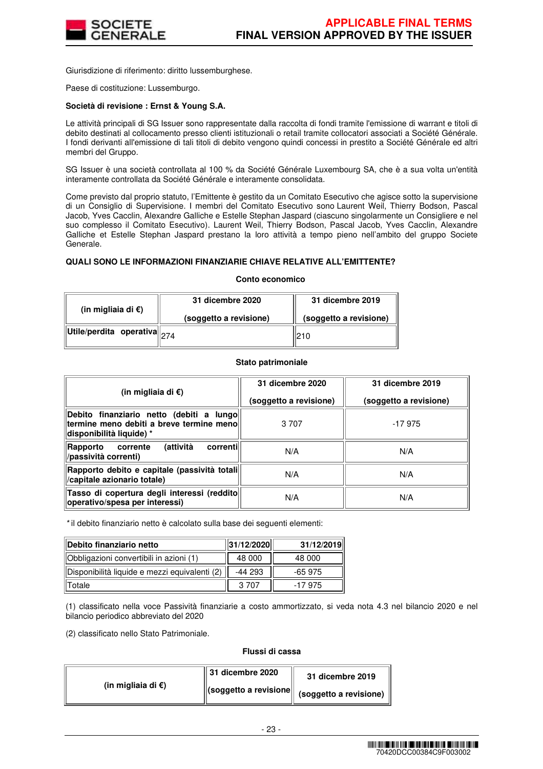

Giurisdizione di riferimento: diritto lussemburghese.

Paese di costituzione: Lussemburgo.

#### **Società di revisione : Ernst & Young S.A.**

Le attività principali di SG Issuer sono rappresentate dalla raccolta di fondi tramite l'emissione di warrant e titoli di debito destinati al collocamento presso clienti istituzionali o retail tramite collocatori associati a Société Générale. I fondi derivanti all'emissione di tali titoli di debito vengono quindi concessi in prestito a Société Générale ed altri membri del Gruppo.

SG Issuer è una società controllata al 100 % da Société Générale Luxembourg SA, che è a sua volta un'entità interamente controllata da Société Générale e interamente consolidata.

Come previsto dal proprio statuto, l'Emittente è gestito da un Comitato Esecutivo che agisce sotto la supervisione di un Consiglio di Supervisione. I membri del Comitato Esecutivo sono Laurent Weil, Thierry Bodson, Pascal Jacob, Yves Cacclin, Alexandre Galliche e Estelle Stephan Jaspard (ciascuno singolarmente un Consigliere e nel suo complesso il Comitato Esecutivo). Laurent Weil, Thierry Bodson, Pascal Jacob, Yves Cacclin, Alexandre Galliche et Estelle Stephan Jaspard prestano la loro attività a tempo pieno nell'ambito del gruppo Societe Generale.

#### **QUALI SONO LE INFORMAZIONI FINANZIARIE CHIAVE RELATIVE ALL'EMITTENTE?**

#### **Conto economico**

| (in migliaia di $\epsilon$ )                                                                      | 31 dicembre 2020       | 31 dicembre 2019       |  |
|---------------------------------------------------------------------------------------------------|------------------------|------------------------|--|
|                                                                                                   | (soggetto a revisione) | (soggetto a revisione) |  |
| $\left\Vert \mathsf{Utile}/\mathsf{perdita} \right\Vert$ operativa $\left\Vert _{274}\right\Vert$ |                        | 210                    |  |

#### **Stato patrimoniale**

| (in migliaia di €)                                                                                               | 31 dicembre 2020<br>(soggetto a revisione) | 31 dicembre 2019<br>(soggetto a revisione) |
|------------------------------------------------------------------------------------------------------------------|--------------------------------------------|--------------------------------------------|
| Debito finanziario netto (debiti a lungo<br>termine meno debiti a breve termine meno<br>disponibilità liquide) * | 3 7 0 7                                    | $-17975$                                   |
| (attività<br>correntil<br>Rapporto<br>corrente<br>/passività correnti)                                           | N/A                                        | N/A                                        |
| Rapporto debito e capitale (passività totali <br>/capitale azionario totale)                                     | N/A                                        | N/A                                        |
| Tasso di copertura degli interessi (reddito<br>operativo/spesa per interessi)                                    | N/A                                        | N/A                                        |

\* il debito finanziario netto è calcolato sulla base dei seguenti elementi:

| Debito finanziario netto                      | 31/12/2020 | 31/12/2019 |
|-----------------------------------------------|------------|------------|
| Obbligazioni convertibili in azioni (1)       | 48 000     | 48 000     |
| Disponibilità liquide e mezzi equivalenti (2) | -44 293    | $-65975$   |
| Totale                                        | 3.707      | -17 975    |

(1) classificato nella voce Passività finanziarie a costo ammortizzato, si veda nota 4.3 nel bilancio 2020 e nel bilancio periodico abbreviato del 2020

(2) classificato nello Stato Patrimoniale.

#### **Flussi di cassa**

|                              | $\parallel$ 31 dicembre 2020 | 31 dicembre 2019                                                                  |
|------------------------------|------------------------------|-----------------------------------------------------------------------------------|
| (in migliaia di $\epsilon$ ) |                              | $\left\  \text{(soggetto a revisione} \right\  \text{ (soggetto a revisione) }$ " |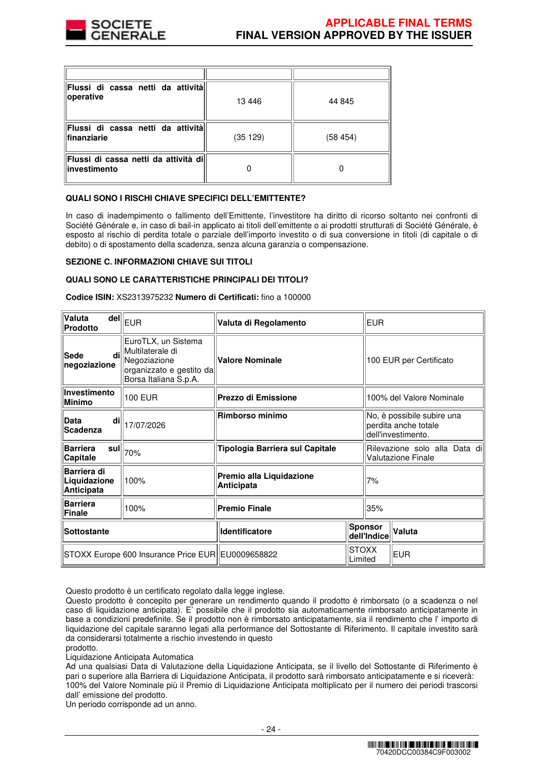

| Flussi di cassa netti da attività<br>operative          | 13446   | 44 845  |
|---------------------------------------------------------|---------|---------|
| Flussi di cassa netti da attività<br><b>finanziarie</b> | (35129) | (58454) |
| Flussi di cassa netti da attività di<br>investimento    |         |         |

#### **QUALI SONO I RISCHI CHIAVE SPECIFICI DELL'EMITTENTE?**

In caso di inadempimento o fallimento dell'Emittente, l'investitore ha diritto di ricorso soltanto nei confronti di Société Générale e, in caso di bail-in applicato ai titoli dell'emittente o ai prodotti strutturati di Société Générale, è esposto al rischio di perdita totale o parziale dell'importo investito o di sua conversione in titoli (di capitale o di debito) o di spostamento della scadenza, senza alcuna garanzia o compensazione.

#### **SEZIONE C. INFORMAZIONI CHIAVE SUI TITOLI**

## **QUALI SONO LE CARATTERISTICHE PRINCIPALI DEI TITOLI?**

**Codice ISIN:** XS2313975232 **Numero di Certificati:** fino a 100000

| Valuta<br><b>Prodotto</b>                         | $\overline{\mathsf{del}}\Vert_{\mathsf{EUR}}$                                                                | Valuta di Regolamento                  |                         |                                                                          | <b>EUR</b> |  |  |
|---------------------------------------------------|--------------------------------------------------------------------------------------------------------------|----------------------------------------|-------------------------|--------------------------------------------------------------------------|------------|--|--|
| di<br><b>Sede</b><br>negoziazione                 | EuroTLX, un Sistema<br>Multilaterale di<br>Negoziazione<br>organizzato e gestito da<br>Borsa Italiana S.p.A. | Valore Nominale                        |                         | 100 EUR per Certificato                                                  |            |  |  |
| Investimento<br><b>Minimo</b>                     | <b>100 EUR</b>                                                                                               | Prezzo di Emissione                    |                         | 100% del Valore Nominale                                                 |            |  |  |
| di<br>Data<br><b>Scadenza</b>                     | 17/07/2026                                                                                                   | <b>Rimborso minimo</b>                 |                         | No, è possibile subire una<br>perdita anche totale<br>dell'investimento. |            |  |  |
| <b>Barriera</b><br>sul<br>Capitale                | 70%                                                                                                          | Tipologia Barriera sul Capitale        |                         | Rilevazione solo alla Data dil<br><b>Valutazione Finale</b>              |            |  |  |
| Barriera di<br>Liquidazione<br>Anticipata         | 100%                                                                                                         | Premio alla Liquidazione<br>Anticipata |                         | 7%                                                                       |            |  |  |
| <b>Barriera</b><br>Finale                         | 100%                                                                                                         | <b>Premio Finale</b>                   |                         | 35%                                                                      |            |  |  |
| Sottostante                                       |                                                                                                              | Identificatore                         |                         | Sponsor<br>dell'Indice                                                   | Valuta     |  |  |
| STOXX Europe 600 Insurance Price EUR EU0009658822 |                                                                                                              |                                        | <b>STOXX</b><br>Limited |                                                                          | <b>EUR</b> |  |  |

Questo prodotto è un certificato regolato dalla legge inglese.

prodotto.

Liquidazione Anticipata Automatica

Ad una qualsiasi Data di Valutazione della Liquidazione Anticipata, se il livello del Sottostante di Riferimento è pari o superiore alla Barriera di Liquidazione Anticipata, il prodotto sarà rimborsato anticipatamente e si riceverà: 100% del Valore Nominale più il Premio di Liquidazione Anticipata moltiplicato per il numero dei periodi trascorsi dall' emissione del prodotto.

Un periodo corrisponde ad un anno.

Questo prodotto è concepito per generare un rendimento quando il prodotto è rimborsato (o a scadenza o nel caso di liquidazione anticipata). E' possibile che il prodotto sia automaticamente rimborsato anticipatamente in base a condizioni predefinite. Se il prodotto non è rimborsato anticipatamente, sia il rendimento che l' importo di liquidazione del capitale saranno legati alla performance del Sottostante di Riferimento. Il capitale investito sarà da considerarsi totalmente a rischio investendo in questo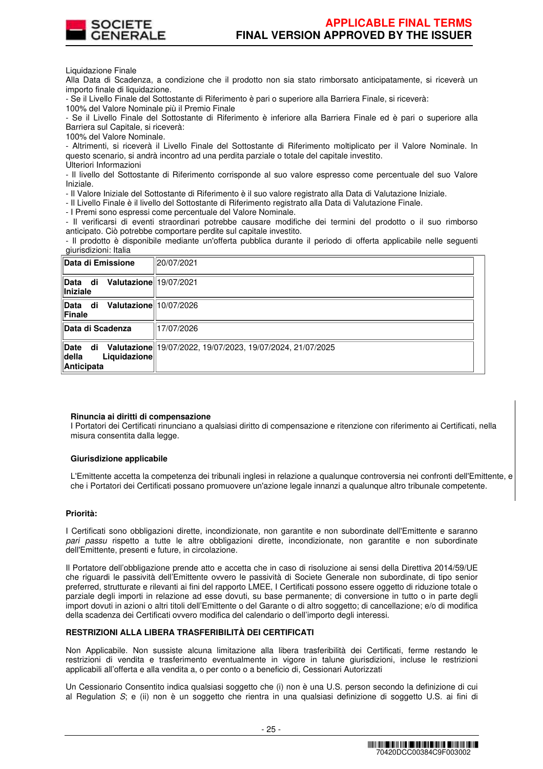

Liquidazione Finale

Alla Data di Scadenza, a condizione che il prodotto non sia stato rimborsato anticipatamente, si riceverà un importo finale di liquidazione.

- Se il Livello Finale del Sottostante di Riferimento è pari o superiore alla Barriera Finale, si riceverà:

100% del Valore Nominale più il Premio Finale

- Se il Livello Finale del Sottostante di Riferimento è inferiore alla Barriera Finale ed è pari o superiore alla Barriera sul Capitale, si riceverà:

100% del Valore Nominale.

- Altrimenti, si riceverà il Livello Finale del Sottostante di Riferimento moltiplicato per il Valore Nominale. In questo scenario, si andrà incontro ad una perdita parziale o totale del capitale investito. Ulteriori Informazioni

- Il livello del Sottostante di Riferimento corrisponde al suo valore espresso come percentuale del suo Valore Iniziale.

- Il Valore Iniziale del Sottostante di Riferimento è il suo valore registrato alla Data di Valutazione Iniziale.

- Il Livello Finale è il livello del Sottostante di Riferimento registrato alla Data di Valutazione Finale.

- I Premi sono espressi come percentuale del Valore Nominale.

- Il verificarsi di eventi straordinari potrebbe causare modifiche dei termini del prodotto o il suo rimborso anticipato. Ciò potrebbe comportare perdite sul capitale investito.

- Il prodotto è disponibile mediante un'offerta pubblica durante il periodo di offerta applicabile nelle seguenti giurisdizioni: Italia

| Data di Emissione                                        | 20/07/2021                                                 |
|----------------------------------------------------------|------------------------------------------------------------|
| Valutazione 19/07/2021<br>Data di<br><b>Iniziale</b>     |                                                            |
| Valutazione 10/07/2026<br>Data di<br>Finale              |                                                            |
| <b>Data di Scadenza</b>                                  | 17/07/2026                                                 |
| Date<br>di<br><b>della</b><br>Liquidazione<br>Anticipata | Valutazione 19/07/2022, 19/07/2023, 19/07/2024, 21/07/2025 |

#### **Rinuncia ai diritti di compensazione**

I Portatori dei Certificati rinunciano a qualsiasi diritto di compensazione e ritenzione con riferimento ai Certificati, nella misura consentita dalla legge.

#### **Giurisdizione applicabile**

L'Emittente accetta la competenza dei tribunali inglesi in relazione a qualunque controversia nei confronti dell'Emittente, e che i Portatori dei Certificati possano promuovere un'azione legale innanzi a qualunque altro tribunale competente.

#### **Priorità:**

I Certificati sono obbligazioni dirette, incondizionate, non garantite e non subordinate dell'Emittente e saranno pari passu rispetto a tutte le altre obbligazioni dirette, incondizionate, non garantite e non subordinate dell'Emittente, presenti e future, in circolazione.

Il Portatore dell'obbligazione prende atto e accetta che in caso di risoluzione ai sensi della Direttiva 2014/59/UE che riguardi le passività dell'Emittente ovvero le passività di Societe Generale non subordinate, di tipo senior preferred, strutturate e rilevanti ai fini del rapporto LMEE, I Certificati possono essere oggetto di riduzione totale o parziale degli importi in relazione ad esse dovuti, su base permanente; di conversione in tutto o in parte degli import dovuti in azioni o altri titoli dell'Emittente o del Garante o di altro soggetto; di cancellazione; e/o di modifica della scadenza dei Certificati ovvero modifica del calendario o dell'importo degli interessi.

#### **RESTRIZIONI ALLA LIBERA TRASFERIBILITÀ DEI CERTIFICATI**

Non Applicabile. Non sussiste alcuna limitazione alla libera trasferibilità dei Certificati, ferme restando le restrizioni di vendita e trasferimento eventualmente in vigore in talune giurisdizioni, incluse le restrizioni applicabili all'offerta e alla vendita a, o per conto o a beneficio di, Cessionari Autorizzati

Un Cessionario Consentito indica qualsiasi soggetto che (i) non è una U.S. person secondo la definizione di cui al Regulation S; e (ii) non è un soggetto che rientra in una qualsiasi definizione di soggetto U.S. ai fini di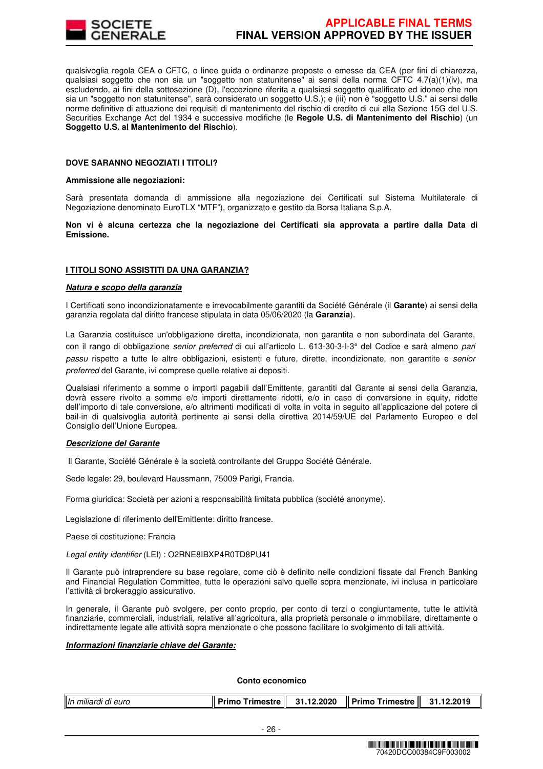

qualsivoglia regola CEA o CFTC, o linee guida o ordinanze proposte o emesse da CEA (per fini di chiarezza, qualsiasi soggetto che non sia un "soggetto non statunitense" ai sensi della norma CFTC 4.7(a)(1)(iv), ma escludendo, ai fini della sottosezione (D), l'eccezione riferita a qualsiasi soggetto qualificato ed idoneo che non sia un "soggetto non statunitense", sarà considerato un soggetto U.S.); e (iii) non è "soggetto U.S." ai sensi delle norme definitive di attuazione dei requisiti di mantenimento del rischio di credito di cui alla Sezione 15G del U.S. Securities Exchange Act del 1934 e successive modifiche (le **Regole U.S. di Mantenimento del Rischio**) (un **Soggetto U.S. al Mantenimento del Rischio**).

#### **DOVE SARANNO NEGOZIATI I TITOLI?**

#### **Ammissione alle negoziazioni:**

Sarà presentata domanda di ammissione alla negoziazione dei Certificati sul Sistema Multilaterale di Negoziazione denominato EuroTLX "MTF"), organizzato e gestito da Borsa Italiana S.p.A.

**Non vi è alcuna certezza che la negoziazione dei Certificati sia approvata a partire dalla Data di Emissione.**

#### **I TITOLI SONO ASSISTITI DA UNA GARANZIA?**

#### **Natura e scopo della garanzia**

I Certificati sono incondizionatamente e irrevocabilmente garantiti da Société Générale (il **Garante**) ai sensi della garanzia regolata dal diritto francese stipulata in data 05/06/2020 (la **Garanzia**).

La Garanzia costituisce un'obbligazione diretta, incondizionata, non garantita e non subordinata del Garante, con il rango di obbligazione senior preferred di cui all'articolo L. 613-30-3-I-3° del Codice e sarà almeno pari passu rispetto a tutte le altre obbligazioni, esistenti e future, dirette, incondizionate, non garantite e senior preferred del Garante, ivi comprese quelle relative ai depositi.

Qualsiasi riferimento a somme o importi pagabili dall'Emittente, garantiti dal Garante ai sensi della Garanzia, dovrà essere rivolto a somme e/o importi direttamente ridotti, e/o in caso di conversione in equity, ridotte dell'importo di tale conversione, e/o altrimenti modificati di volta in volta in seguito all'applicazione del potere di bail-in di qualsivoglia autorità pertinente ai sensi della direttiva 2014/59/UE del Parlamento Europeo e del Consiglio dell'Unione Europea.

#### **Descrizione del Garante**

Il Garante, Société Générale è la società controllante del Gruppo Société Générale.

Sede legale: 29, boulevard Haussmann, 75009 Parigi, Francia.

Forma giuridica: Società per azioni a responsabilità limitata pubblica (société anonyme).

Legislazione di riferimento dell'Emittente: diritto francese.

Paese di costituzione: Francia

Legal entity identifier (LEI) : O2RNE8IBXP4R0TD8PU41

Il Garante può intraprendere su base regolare, come ciò è definito nelle condizioni fissate dal French Banking and Financial Regulation Committee, tutte le operazioni salvo quelle sopra menzionate, ivi inclusa in particolare l'attività di brokeraggio assicurativo.

In generale, il Garante può svolgere, per conto proprio, per conto di terzi o congiuntamente, tutte le attività finanziarie, commerciali, industriali, relative all'agricoltura, alla proprietà personale o immobiliare, direttamente o indirettamente legate alle attività sopra menzionate o che possono facilitare lo svolgimento di tali attività.

#### **Informazioni finanziarie chiave del Garante:**

**Conto economico**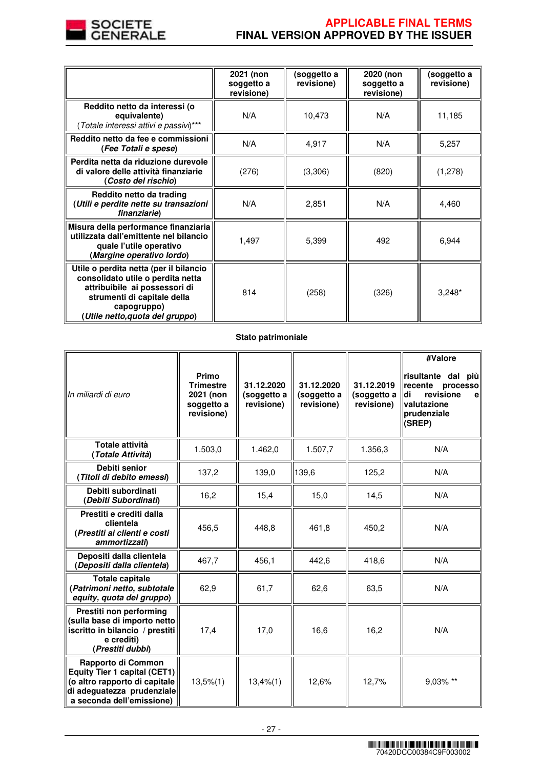

# **APPLICABLE FINAL TERMS FINAL VERSION APPROVED BY THE ISSUER**

|                                                                                                                                                                                               | 2021 (non<br>soggetto a<br>revisione) | (soggetto a<br>revisione) | 2020 (non<br>soggetto a<br>revisione) | (soggetto a<br>revisione) |
|-----------------------------------------------------------------------------------------------------------------------------------------------------------------------------------------------|---------------------------------------|---------------------------|---------------------------------------|---------------------------|
| Reddito netto da interessi (o<br>equivalente)<br>Totale interessi attivi e passivi)***                                                                                                        | N/A                                   | 10,473                    | N/A                                   | 11,185                    |
| Reddito netto da fee e commissioni<br>(Fee Totali e spese)                                                                                                                                    | N/A                                   | 4,917                     | N/A                                   | 5,257                     |
| Perdita netta da riduzione durevole<br>di valore delle attività finanziarie<br>(Costo del rischio)                                                                                            | (276)                                 | (3,306)                   | (820)                                 | (1,278)                   |
| Reddito netto da trading<br>(Utili e perdite nette su transazioni<br>finanziarie)                                                                                                             | N/A                                   | 2,851                     | N/A                                   | 4,460                     |
| Misura della performance finanziaria<br>utilizzata dall'emittente nel bilancio<br>quale l'utile operativo<br>(Margine operativo lordo)                                                        | 1,497                                 | 5,399                     | 492                                   | 6,944                     |
| Utile o perdita netta (per il bilancio<br>consolidato utile o perdita netta<br>attribuibile ai possessori di<br>strumenti di capitale della<br>capogruppo)<br>(Utile netto, quota del gruppo) | 814                                   | (258)                     | (326)                                 | $3,248*$                  |

# **Stato patrimoniale**

| In miliardi di euro                                                                                                                                   | Primo<br><b>Trimestre</b><br>2021 (non<br>soggetto a<br>revisione) | 31.12.2020<br>(soggetto a<br>revisione) | 31.12.2020<br>(soggetto a<br>revisione) | 31.12.2019<br>(soggetto a<br>revisione) | #Valore<br>risultante dal<br>più<br>recente<br>processo<br>revisione<br>di<br>$\mathbf{e}$<br>valutazione<br>prudenziale<br>(SREP) |
|-------------------------------------------------------------------------------------------------------------------------------------------------------|--------------------------------------------------------------------|-----------------------------------------|-----------------------------------------|-----------------------------------------|------------------------------------------------------------------------------------------------------------------------------------|
| Totale attività<br>(Totale Attività)                                                                                                                  | 1.503,0                                                            | 1.462,0                                 | 1.507,7                                 | 1.356,3                                 | N/A                                                                                                                                |
| Debiti senior<br>(Titoli di debito emessi)                                                                                                            | 137,2                                                              | 139,0                                   | 139,6                                   | 125,2                                   | N/A                                                                                                                                |
| Debiti subordinati<br>(Debiti Subordinati)                                                                                                            | 16,2                                                               | 15,4                                    | 15,0                                    | 14,5                                    | N/A                                                                                                                                |
| Prestiti e crediti dalla<br>clientela<br>(Prestiti ai clienti e costi<br>ammortizzati)                                                                | 456,5                                                              | 448,8                                   | 461,8                                   | 450,2                                   | N/A                                                                                                                                |
| Depositi dalla clientela<br>(Depositi dalla clientela)                                                                                                | 467,7                                                              | 456,1                                   | 442,6                                   | 418,6                                   | N/A                                                                                                                                |
| <b>Totale capitale</b><br>(Patrimoni netto, subtotale<br>equity, quota del gruppo)                                                                    | 62,9                                                               | 61,7                                    | 62,6                                    | 63,5                                    | N/A                                                                                                                                |
| Prestiti non performing<br>(sulla base di importo netto<br>iscritto in bilancio / prestiti<br>e crediti)<br>(Prestiti dubbi)                          | 17,4                                                               | 17,0                                    | 16,6                                    | 16,2                                    | N/A                                                                                                                                |
| Rapporto di Common<br><b>Equity Tier 1 capital (CET1)</b><br>(o altro rapporto di capitale<br>di adeguatezza prudenziale<br>a seconda dell'emissione) | $13,5\%$ $(1)$                                                     | 13,4%(1)                                | 12,6%                                   | 12,7%                                   | 9,03% **                                                                                                                           |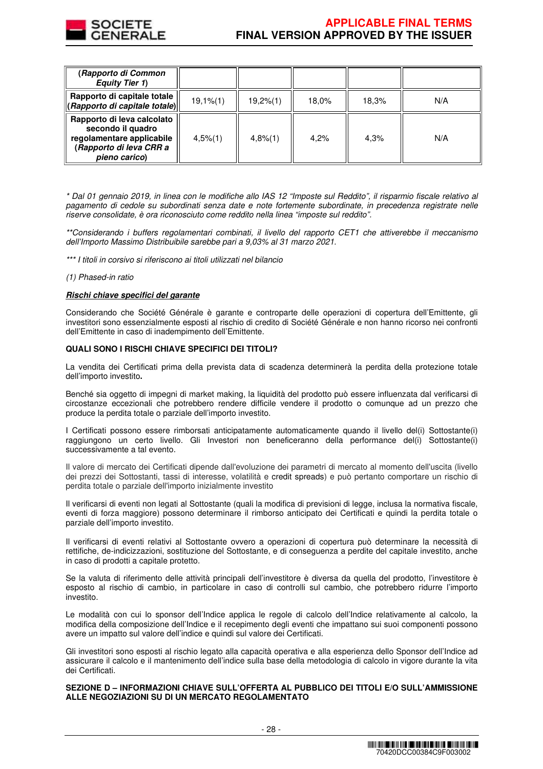

| (Rapporto di Common<br><b>Equity Tier 1)</b>                                                                             |                |             |       |       |     |
|--------------------------------------------------------------------------------------------------------------------------|----------------|-------------|-------|-------|-----|
| Rapporto di capitale totale<br>(Rapporto di capitale totale)                                                             | $19,1\%$ $(1)$ | 19,2%(1)    | 18.0% | 18,3% | N/A |
| Rapporto di leva calcolato<br>secondo il quadro<br>regolamentare applicabile<br>(Rapporto di leva CRR a<br>pieno carico) | $4,5\%$ (1)    | $4,8\%$ (1) | 4.2%  | 4.3%  | N/A |

\* Dal 01 gennaio 2019, in linea con le modifiche allo IAS 12 "Imposte sul Reddito", il risparmio fiscale relativo al pagamento di cedole su subordinati senza date e note fortemente subordinate, in precedenza registrate nelle riserve consolidate, è ora riconosciuto come reddito nella linea "imposte sul reddito".

\*\*Considerando i buffers regolamentari combinati, il livello del rapporto CET1 che attiverebbe il meccanismo dell'Importo Massimo Distribuibile sarebbe pari a 9,03% al 31 marzo 2021.

\*\*\* I titoli in corsivo si riferiscono ai titoli utilizzati nel bilancio

(1) Phased-in ratio

#### **Rischi chiave specifici del garante**

Considerando che Société Générale è garante e controparte delle operazioni di copertura dell'Emittente, gli investitori sono essenzialmente esposti al rischio di credito di Société Générale e non hanno ricorso nei confronti dell'Emittente in caso di inadempimento dell'Emittente.

## **QUALI SONO I RISCHI CHIAVE SPECIFICI DEI TITOLI?**

La vendita dei Certificati prima della prevista data di scadenza determinerà la perdita della protezione totale dell'importo investito**.**

Benché sia oggetto di impegni di market making, la liquidità del prodotto può essere influenzata dal verificarsi di circostanze eccezionali che potrebbero rendere difficile vendere il prodotto o comunque ad un prezzo che produce la perdita totale o parziale dell'importo investito.

I Certificati possono essere rimborsati anticipatamente automaticamente quando il livello del(i) Sottostante(i) raggiungono un certo livello. Gli Investori non beneficeranno della performance del(i) Sottostante(i) successivamente a tal evento.

Il valore di mercato dei Certificati dipende dall'evoluzione dei parametri di mercato al momento dell'uscita (livello dei prezzi dei Sottostanti, tassi di interesse, volatilità e credit spreads) e può pertanto comportare un rischio di perdita totale o parziale dell'importo inizialmente investito

Il verificarsi di eventi non legati al Sottostante (quali la modifica di previsioni di legge, inclusa la normativa fiscale, eventi di forza maggiore) possono determinare il rimborso anticipato dei Certificati e quindi la perdita totale o parziale dell'importo investito.

Il verificarsi di eventi relativi al Sottostante ovvero a operazioni di copertura può determinare la necessità di rettifiche, de-indicizzazioni, sostituzione del Sottostante, e di conseguenza a perdite del capitale investito, anche in caso di prodotti a capitale protetto.

Se la valuta di riferimento delle attività principali dell'investitore è diversa da quella del prodotto, l'investitore è esposto al rischio di cambio, in particolare in caso di controlli sul cambio, che potrebbero ridurre l'importo investito.

Le modalità con cui lo sponsor dell'Indice applica le regole di calcolo dell'Indice relativamente al calcolo, la modifica della composizione dell'Indice e il recepimento degli eventi che impattano sui suoi componenti possono avere un impatto sul valore dell'indice e quindi sul valore dei Certificati.

Gli investitori sono esposti al rischio legato alla capacità operativa e alla esperienza dello Sponsor dell'Indice ad assicurare il calcolo e il mantenimento dell'indice sulla base della metodologia di calcolo in vigore durante la vita dei Certificati.

## **SEZIONE D – INFORMAZIONI CHIAVE SULL'OFFERTA AL PUBBLICO DEI TITOLI E/O SULL'AMMISSIONE ALLE NEGOZIAZIONI SU DI UN MERCATO REGOLAMENTATO**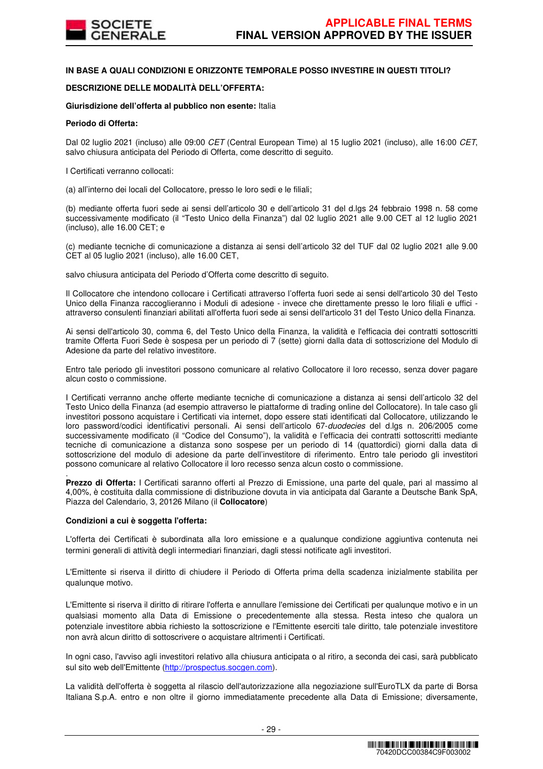

## **IN BASE A QUALI CONDIZIONI E ORIZZONTE TEMPORALE POSSO INVESTIRE IN QUESTI TITOLI?**

## **DESCRIZIONE DELLE MODALITÀ DELL'OFFERTA:**

## **Giurisdizione dell'offerta al pubblico non esente:** Italia

#### **Periodo di Offerta:**

Dal 02 luglio 2021 (incluso) alle 09:00 CET (Central European Time) al 15 luglio 2021 (incluso), alle 16:00 CET, salvo chiusura anticipata del Periodo di Offerta, come descritto di seguito.

I Certificati verranno collocati:

(a) all'interno dei locali del Collocatore, presso le loro sedi e le filiali;

(b) mediante offerta fuori sede ai sensi dell'articolo 30 e dell'articolo 31 del d.lgs 24 febbraio 1998 n. 58 come successivamente modificato (il "Testo Unico della Finanza") dal 02 luglio 2021 alle 9.00 CET al 12 luglio 2021 (incluso), alle 16.00 CET; e

(c) mediante tecniche di comunicazione a distanza ai sensi dell'articolo 32 del TUF dal 02 luglio 2021 alle 9.00 CET al 05 luglio 2021 (incluso), alle 16.00 CET,

salvo chiusura anticipata del Periodo d'Offerta come descritto di seguito.

Il Collocatore che intendono collocare i Certificati attraverso l'offerta fuori sede ai sensi dell'articolo 30 del Testo Unico della Finanza raccoglieranno i Moduli di adesione - invece che direttamente presso le loro filiali e uffici attraverso consulenti finanziari abilitati all'offerta fuori sede ai sensi dell'articolo 31 del Testo Unico della Finanza.

Ai sensi dell'articolo 30, comma 6, del Testo Unico della Finanza, la validità e l'efficacia dei contratti sottoscritti tramite Offerta Fuori Sede è sospesa per un periodo di 7 (sette) giorni dalla data di sottoscrizione del Modulo di Adesione da parte del relativo investitore.

Entro tale periodo gli investitori possono comunicare al relativo Collocatore il loro recesso, senza dover pagare alcun costo o commissione.

I Certificati verranno anche offerte mediante tecniche di comunicazione a distanza ai sensi dell'articolo 32 del Testo Unico della Finanza (ad esempio attraverso le piattaforme di trading online del Collocatore). In tale caso gli investitori possono acquistare i Certificati via internet, dopo essere stati identificati dal Collocatore, utilizzando le loro password/codici identificativi personali. Ai sensi dell'articolo 67-duodecies del d.lgs n. 206/2005 come successivamente modificato (il "Codice del Consumo"), la validità e l'efficacia dei contratti sottoscritti mediante tecniche di comunicazione a distanza sono sospese per un periodo di 14 (quattordici) giorni dalla data di sottoscrizione del modulo di adesione da parte dell'investitore di riferimento. Entro tale periodo gli investitori possono comunicare al relativo Collocatore il loro recesso senza alcun costo o commissione.

. **Prezzo di Offerta:** I Certificati saranno offerti al Prezzo di Emissione, una parte del quale, pari al massimo al 4,00%, è costituita dalla commissione di distribuzione dovuta in via anticipata dal Garante a Deutsche Bank SpA, Piazza del Calendario, 3, 20126 Milano (il **Collocatore**)

#### **Condizioni a cui è soggetta l'offerta:**

L'offerta dei Certificati è subordinata alla loro emissione e a qualunque condizione aggiuntiva contenuta nei termini generali di attività degli intermediari finanziari, dagli stessi notificate agli investitori.

L'Emittente si riserva il diritto di chiudere il Periodo di Offerta prima della scadenza inizialmente stabilita per qualunque motivo.

L'Emittente si riserva il diritto di ritirare l'offerta e annullare l'emissione dei Certificati per qualunque motivo e in un qualsiasi momento alla Data di Emissione o precedentemente alla stessa. Resta inteso che qualora un potenziale investitore abbia richiesto la sottoscrizione e l'Emittente eserciti tale diritto, tale potenziale investitore non avrà alcun diritto di sottoscrivere o acquistare altrimenti i Certificati.

In ogni caso, l'avviso agli investitori relativo alla chiusura anticipata o al ritiro, a seconda dei casi, sarà pubblicato sul sito web dell'Emittente (http://prospectus.socgen.com).

La validità dell'offerta è soggetta al rilascio dell'autorizzazione alla negoziazione sull'EuroTLX da parte di Borsa Italiana S.p.A. entro e non oltre il giorno immediatamente precedente alla Data di Emissione; diversamente,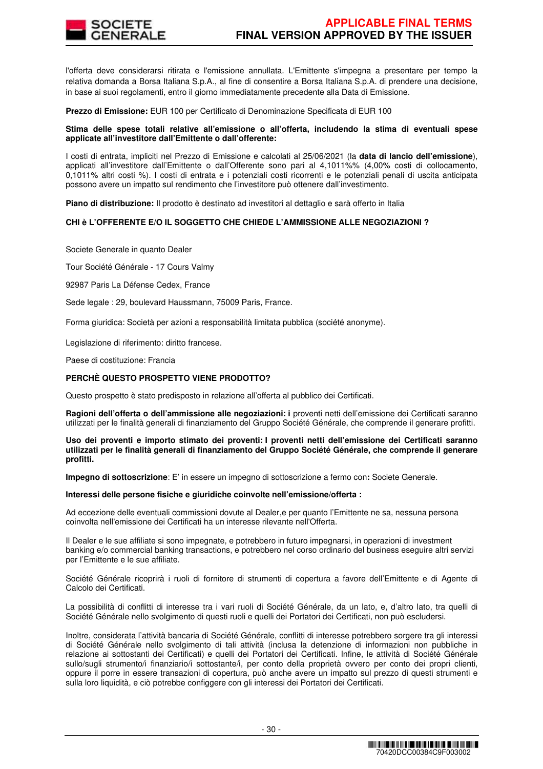

l'offerta deve considerarsi ritirata e l'emissione annullata. L'Emittente s'impegna a presentare per tempo la relativa domanda a Borsa Italiana S.p.A., al fine di consentire a Borsa Italiana S.p.A. di prendere una decisione, in base ai suoi regolamenti, entro il giorno immediatamente precedente alla Data di Emissione.

**Prezzo di Emissione:** EUR 100 per Certificato di Denominazione Specificata di EUR 100

#### **Stima delle spese totali relative all'emissione o all'offerta, includendo la stima di eventuali spese applicate all'investitore dall'Emittente o dall'offerente:**

I costi di entrata, impliciti nel Prezzo di Emissione e calcolati al 25/06/2021 (la **data di lancio dell'emissione**), applicati all'investitore dall'Emittente o dall'Offerente sono pari al 4,1011%% (4,00% costi di collocamento, 0,1011% altri costi %). I costi di entrata e i potenziali costi ricorrenti e le potenziali penali di uscita anticipata possono avere un impatto sul rendimento che l'investitore può ottenere dall'investimento.

**Piano di distribuzione:** Il prodotto è destinato ad investitori al dettaglio e sarà offerto in Italia

#### **CHI è L'OFFERENTE E/O IL SOGGETTO CHE CHIEDE L'AMMISSIONE ALLE NEGOZIAZIONI ?**

Societe Generale in quanto Dealer

Tour Société Générale - 17 Cours Valmy

92987 Paris La Défense Cedex, France

Sede legale : 29, boulevard Haussmann, 75009 Paris, France.

Forma giuridica: Società per azioni a responsabilità limitata pubblica (société anonyme).

Legislazione di riferimento: diritto francese.

Paese di costituzione: Francia

#### **PERCHÈ QUESTO PROSPETTO VIENE PRODOTTO?**

Questo prospetto è stato predisposto in relazione all'offerta al pubblico dei Certificati.

**Ragioni dell'offerta o dell'ammissione alle negoziazioni: i** proventi netti dell'emissione dei Certificati saranno utilizzati per le finalità generali di finanziamento del Gruppo Société Générale, che comprende il generare profitti.

#### **Uso dei proventi e importo stimato dei proventi: I proventi netti dell'emissione dei Certificati saranno utilizzati per le finalità generali di finanziamento del Gruppo Société Générale, che comprende il generare profitti.**

**Impegno di sottoscrizione**: E' in essere un impegno di sottoscrizione a fermo con**:** Societe Generale.

#### **Interessi delle persone fisiche e giuridiche coinvolte nell'emissione/offerta :**

Ad eccezione delle eventuali commissioni dovute al Dealer,e per quanto l'Emittente ne sa, nessuna persona coinvolta nell'emissione dei Certificati ha un interesse rilevante nell'Offerta.

Il Dealer e le sue affiliate si sono impegnate, e potrebbero in futuro impegnarsi, in operazioni di investment banking e/o commercial banking transactions, e potrebbero nel corso ordinario del business eseguire altri servizi per l'Emittente e le sue affiliate.

Société Générale ricoprirà i ruoli di fornitore di strumenti di copertura a favore dell'Emittente e di Agente di Calcolo dei Certificati.

La possibilità di conflitti di interesse tra i vari ruoli di Société Générale, da un lato, e, d'altro lato, tra quelli di Société Générale nello svolgimento di questi ruoli e quelli dei Portatori dei Certificati, non può escludersi.

Inoltre, considerata l'attività bancaria di Société Générale, conflitti di interesse potrebbero sorgere tra gli interessi di Société Générale nello svolgimento di tali attività (inclusa la detenzione di informazioni non pubbliche in relazione ai sottostanti dei Certificati) e quelli dei Portatori dei Certificati. Infine, le attività di Société Générale sullo/sugli strumento/i finanziario/i sottostante/i, per conto della proprietà ovvero per conto dei propri clienti, oppure il porre in essere transazioni di copertura, può anche avere un impatto sul prezzo di questi strumenti e sulla loro liquidità, e ciò potrebbe configgere con gli interessi dei Portatori dei Certificati.